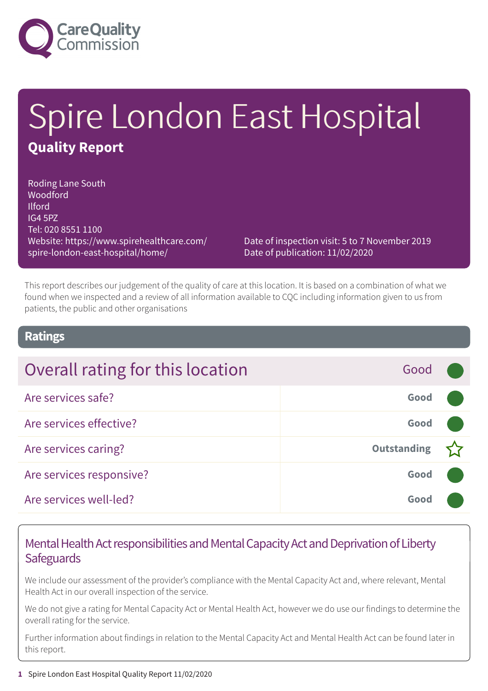

# Spire London East Hospital **Quality Report**

Roding Lane South Woodford Ilford IG4 5PZ Tel: 020 8551 1100 Website: https://www.spirehealthcare.com/ spire-london-east-hospital/home/

Date of inspection visit: 5 to 7 November 2019 Date of publication: 11/02/2020

This report describes our judgement of the quality of care at this location. It is based on a combination of what we found when we inspected and a review of all information available to CQC including information given to us from patients, the public and other organisations

### **Ratings**

| Overall rating for this location           | Good |
|--------------------------------------------|------|
| Are services safe?                         | Good |
| Are services effective?                    | Good |
| <b>Outstanding</b><br>Are services caring? |      |
| Are services responsive?                   | Good |
| Are services well-led?                     | Good |

### Mental Health Act responsibilities and Mental Capacity Act and Deprivation of Liberty **Safeguards**

We include our assessment of the provider's compliance with the Mental Capacity Act and, where relevant, Mental Health Act in our overall inspection of the service.

We do not give a rating for Mental Capacity Act or Mental Health Act, however we do use our findings to determine the overall rating for the service.

Further information about findings in relation to the Mental Capacity Act and Mental Health Act can be found later in this report.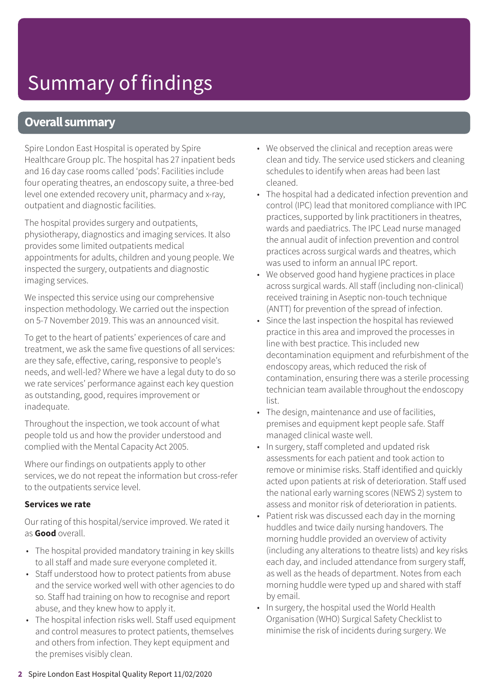### **Overall summary**

Spire London East Hospital is operated by Spire Healthcare Group plc. The hospital has 27 inpatient beds and 16 day case rooms called 'pods'. Facilities include four operating theatres, an endoscopy suite, a three-bed level one extended recovery unit, pharmacy and x-ray, outpatient and diagnostic facilities.

The hospital provides surgery and outpatients, physiotherapy, diagnostics and imaging services. It also provides some limited outpatients medical appointments for adults, children and young people. We inspected the surgery, outpatients and diagnostic imaging services.

We inspected this service using our comprehensive inspection methodology. We carried out the inspection on 5-7 November 2019. This was an announced visit.

To get to the heart of patients' experiences of care and treatment, we ask the same five questions of all services: are they safe, effective, caring, responsive to people's needs, and well-led? Where we have a legal duty to do so we rate services' performance against each key question as outstanding, good, requires improvement or inadequate.

Throughout the inspection, we took account of what people told us and how the provider understood and complied with the Mental Capacity Act 2005.

Where our findings on outpatients apply to other services, we do not repeat the information but cross-refer to the outpatients service level.

#### **Services we rate**

Our rating of this hospital/service improved. We rated it as **Good** overall.

- The hospital provided mandatory training in key skills to all staff and made sure everyone completed it.
- Staff understood how to protect patients from abuse and the service worked well with other agencies to do so. Staff had training on how to recognise and report abuse, and they knew how to apply it.
- The hospital infection risks well. Staff used equipment and control measures to protect patients, themselves and others from infection. They kept equipment and the premises visibly clean.
- We observed the clinical and reception areas were clean and tidy. The service used stickers and cleaning schedules to identify when areas had been last cleaned.
- The hospital had a dedicated infection prevention and control (IPC) lead that monitored compliance with IPC practices, supported by link practitioners in theatres, wards and paediatrics. The IPC Lead nurse managed the annual audit of infection prevention and control practices across surgical wards and theatres, which was used to inform an annual IPC report.
- We observed good hand hygiene practices in place across surgical wards. All staff (including non-clinical) received training in Aseptic non-touch technique (ANTT) for prevention of the spread of infection.
- Since the last inspection the hospital has reviewed practice in this area and improved the processes in line with best practice. This included new decontamination equipment and refurbishment of the endoscopy areas, which reduced the risk of contamination, ensuring there was a sterile processing technician team available throughout the endoscopy list.
- The design, maintenance and use of facilities, premises and equipment kept people safe. Staff managed clinical waste well.
- In surgery, staff completed and updated risk assessments for each patient and took action to remove or minimise risks. Staff identified and quickly acted upon patients at risk of deterioration. Staff used the national early warning scores (NEWS 2) system to assess and monitor risk of deterioration in patients.
- Patient risk was discussed each day in the morning huddles and twice daily nursing handovers. The morning huddle provided an overview of activity (including any alterations to theatre lists) and key risks each day, and included attendance from surgery staff, as well as the heads of department. Notes from each morning huddle were typed up and shared with staff by email.
- In surgery, the hospital used the World Health Organisation (WHO) Surgical Safety Checklist to minimise the risk of incidents during surgery. We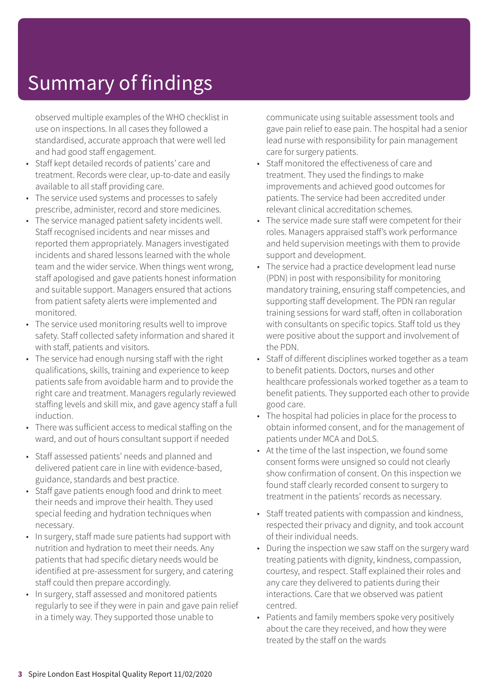observed multiple examples of the WHO checklist in use on inspections. In all cases they followed a standardised, accurate approach that were well led and had good staff engagement.

- Staff kept detailed records of patients' care and treatment. Records were clear, up-to-date and easily available to all staff providing care.
- The service used systems and processes to safely prescribe, administer, record and store medicines.
- The service managed patient safety incidents well. Staff recognised incidents and near misses and reported them appropriately. Managers investigated incidents and shared lessons learned with the whole team and the wider service. When things went wrong, staff apologised and gave patients honest information and suitable support. Managers ensured that actions from patient safety alerts were implemented and monitored.
- The service used monitoring results well to improve safety. Staff collected safety information and shared it with staff, patients and visitors.
- The service had enough nursing staff with the right qualifications, skills, training and experience to keep patients safe from avoidable harm and to provide the right care and treatment. Managers regularly reviewed staffing levels and skill mix, and gave agency staff a full induction.
- There was sufficient access to medical staffing on the ward, and out of hours consultant support if needed
- Staff assessed patients' needs and planned and delivered patient care in line with evidence-based, guidance, standards and best practice.
- Staff gave patients enough food and drink to meet their needs and improve their health. They used special feeding and hydration techniques when necessary.
- In surgery, staff made sure patients had support with nutrition and hydration to meet their needs. Any patients that had specific dietary needs would be identified at pre-assessment for surgery, and catering staff could then prepare accordingly.
- In surgery, staff assessed and monitored patients regularly to see if they were in pain and gave pain relief in a timely way. They supported those unable to

communicate using suitable assessment tools and gave pain relief to ease pain. The hospital had a senior lead nurse with responsibility for pain management care for surgery patients.

- Staff monitored the effectiveness of care and treatment. They used the findings to make improvements and achieved good outcomes for patients. The service had been accredited under relevant clinical accreditation schemes.
- The service made sure staff were competent for their roles. Managers appraised staff's work performance and held supervision meetings with them to provide support and development.
- The service had a practice development lead nurse (PDN) in post with responsibility for monitoring mandatory training, ensuring staff competencies, and supporting staff development. The PDN ran regular training sessions for ward staff, often in collaboration with consultants on specific topics. Staff told us they were positive about the support and involvement of the PDN.
- Staff of different disciplines worked together as a team to benefit patients. Doctors, nurses and other healthcare professionals worked together as a team to benefit patients. They supported each other to provide good care.
- The hospital had policies in place for the process to obtain informed consent, and for the management of patients under MCA and DoLS.
- At the time of the last inspection, we found some consent forms were unsigned so could not clearly show confirmation of consent. On this inspection we found staff clearly recorded consent to surgery to treatment in the patients' records as necessary.
- Staff treated patients with compassion and kindness, respected their privacy and dignity, and took account of their individual needs.
- During the inspection we saw staff on the surgery ward treating patients with dignity, kindness, compassion, courtesy, and respect. Staff explained their roles and any care they delivered to patients during their interactions. Care that we observed was patient centred.
- Patients and family members spoke very positively about the care they received, and how they were treated by the staff on the wards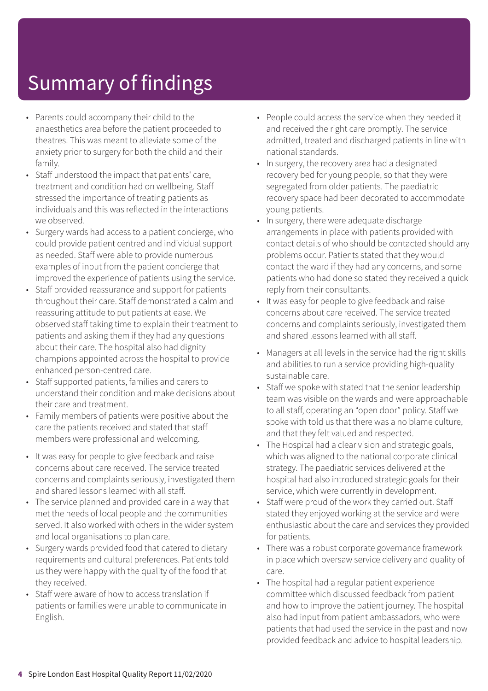- Parents could accompany their child to the anaesthetics area before the patient proceeded to theatres. This was meant to alleviate some of the anxiety prior to surgery for both the child and their family.
- Staff understood the impact that patients' care, treatment and condition had on wellbeing. Staff stressed the importance of treating patients as individuals and this was reflected in the interactions we observed.
- Surgery wards had access to a patient concierge, who could provide patient centred and individual support as needed. Staff were able to provide numerous examples of input from the patient concierge that improved the experience of patients using the service.
- Staff provided reassurance and support for patients throughout their care. Staff demonstrated a calm and reassuring attitude to put patients at ease. We observed staff taking time to explain their treatment to patients and asking them if they had any questions about their care. The hospital also had dignity champions appointed across the hospital to provide enhanced person-centred care.
- Staff supported patients, families and carers to understand their condition and make decisions about their care and treatment.
- Family members of patients were positive about the care the patients received and stated that staff members were professional and welcoming.
- It was easy for people to give feedback and raise concerns about care received. The service treated concerns and complaints seriously, investigated them and shared lessons learned with all staff.
- The service planned and provided care in a way that met the needs of local people and the communities served. It also worked with others in the wider system and local organisations to plan care.
- Surgery wards provided food that catered to dietary requirements and cultural preferences. Patients told us they were happy with the quality of the food that they received.
- Staff were aware of how to access translation if patients or families were unable to communicate in English.
- People could access the service when they needed it and received the right care promptly. The service admitted, treated and discharged patients in line with national standards.
- In surgery, the recovery area had a designated recovery bed for young people, so that they were segregated from older patients. The paediatric recovery space had been decorated to accommodate young patients.
- In surgery, there were adequate discharge arrangements in place with patients provided with contact details of who should be contacted should any problems occur. Patients stated that they would contact the ward if they had any concerns, and some patients who had done so stated they received a quick reply from their consultants.
- It was easy for people to give feedback and raise concerns about care received. The service treated concerns and complaints seriously, investigated them and shared lessons learned with all staff.
- Managers at all levels in the service had the right skills and abilities to run a service providing high-quality sustainable care.
- Staff we spoke with stated that the senior leadership team was visible on the wards and were approachable to all staff, operating an "open door" policy. Staff we spoke with told us that there was a no blame culture, and that they felt valued and respected.
- The Hospital had a clear vision and strategic goals, which was aligned to the national corporate clinical strategy. The paediatric services delivered at the hospital had also introduced strategic goals for their service, which were currently in development.
- Staff were proud of the work they carried out. Staff stated they enjoyed working at the service and were enthusiastic about the care and services they provided for patients.
- There was a robust corporate governance framework in place which oversaw service delivery and quality of care.
- The hospital had a regular patient experience committee which discussed feedback from patient and how to improve the patient journey. The hospital also had input from patient ambassadors, who were patients that had used the service in the past and now provided feedback and advice to hospital leadership.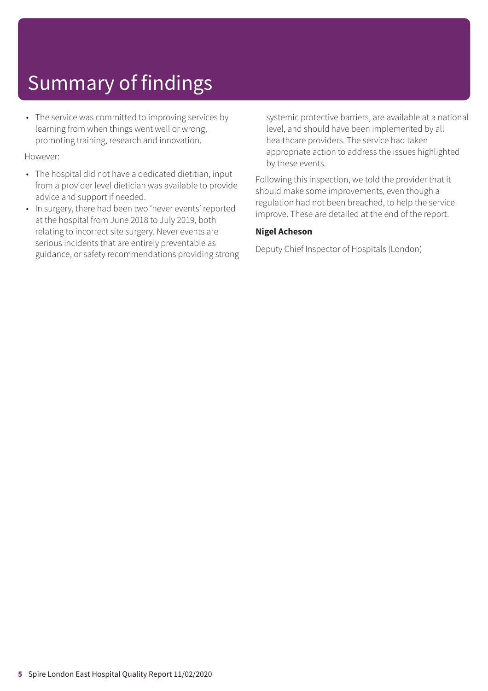• The service was committed to improving services by learning from when things went well or wrong, promoting training, research and innovation.

#### However:

- The hospital did not have a dedicated dietitian, input from a provider level dietician was available to provide advice and support if needed.
- In surgery, there had been two 'never events' reported at the hospital from June 2018 to July 2019, both relating to incorrect site surgery. Never events are serious incidents that are entirely preventable as guidance, or safety recommendations providing strong

systemic protective barriers, are available at a national level, and should have been implemented by all healthcare providers. The service had taken appropriate action to address the issues highlighted by these events.

Following this inspection, we told the provider that it should make some improvements, even though a regulation had not been breached, to help the service improve. These are detailed at the end of the report.

#### **Nigel Acheson**

Deputy Chief Inspector of Hospitals (London)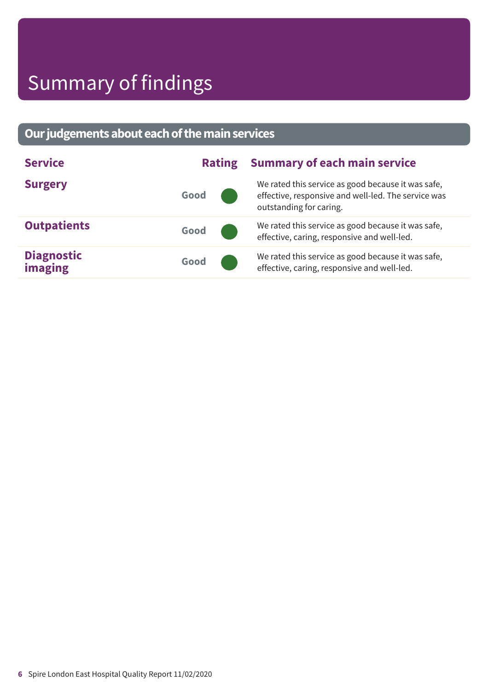### **Ourjudgementsabouteachofthemainservices**

| <b>Service</b>                      |      | <b>Rating</b> | <b>Summary of each main service</b>                                                                                                  |  |  |
|-------------------------------------|------|---------------|--------------------------------------------------------------------------------------------------------------------------------------|--|--|
| <b>Surgery</b>                      | Good |               | We rated this service as good because it was safe,<br>effective, responsive and well-led. The service was<br>outstanding for caring. |  |  |
| <b>Outpatients</b>                  | Good |               | We rated this service as good because it was safe,<br>effective, caring, responsive and well-led.                                    |  |  |
| <b>Diagnostic</b><br><b>imaging</b> | Good |               | We rated this service as good because it was safe,<br>effective, caring, responsive and well-led.                                    |  |  |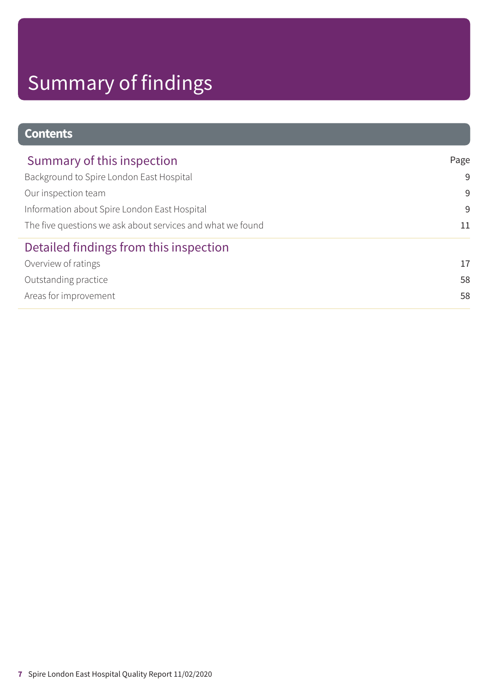| <b>Contents</b>                                            |      |
|------------------------------------------------------------|------|
| Summary of this inspection                                 | Page |
| Background to Spire London East Hospital                   | 9    |
| Our inspection team                                        | 9    |
| Information about Spire London East Hospital               | 9    |
| The five questions we ask about services and what we found | 11   |
| Detailed findings from this inspection                     |      |
| Overview of ratings                                        | 17   |
| Outstanding practice                                       | 58   |
| Areas for improvement                                      | 58   |
|                                                            |      |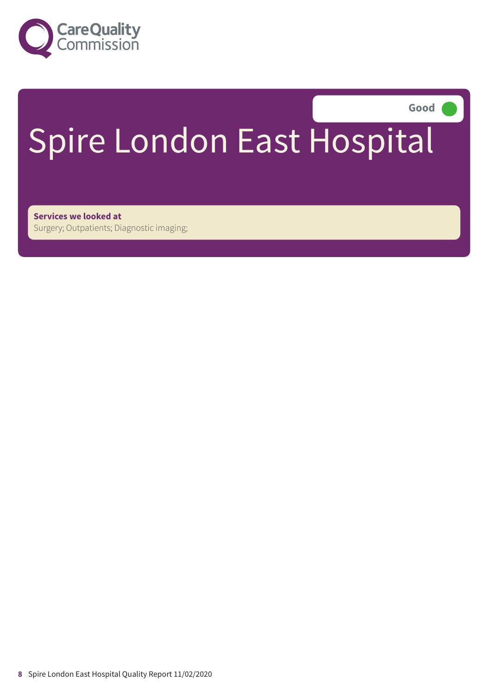

Good

# Spire London East Hospital

**Services we looked at** Surgery; Outpatients; Diagnostic imaging;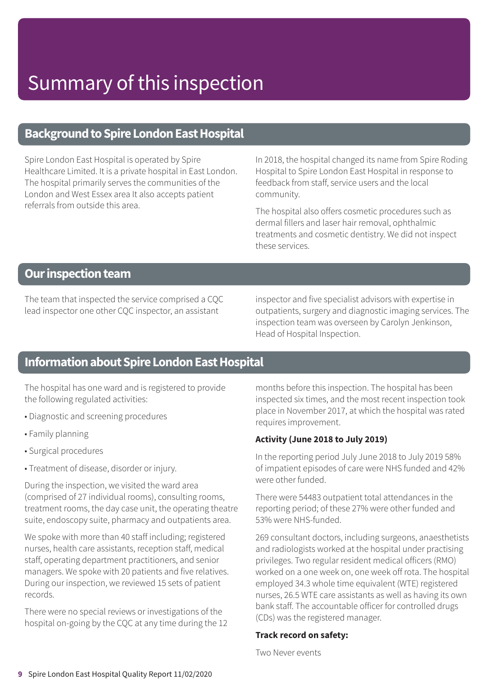### **Background to Spire London East Hospital**

Spire London East Hospital is operated by Spire Healthcare Limited. It is a private hospital in East London. The hospital primarily serves the communities of the London and West Essex area It also accepts patient referrals from outside this area.

In 2018, the hospital changed its name from Spire Roding Hospital to Spire London East Hospital in response to feedback from staff, service users and the local community.

The hospital also offers cosmetic procedures such as dermal fillers and laser hair removal, ophthalmic treatments and cosmetic dentistry. We did not inspect these services.

### **Our inspection team**

The team that inspected the service comprised a CQC lead inspector one other CQC inspector, an assistant

inspector and five specialist advisors with expertise in outpatients, surgery and diagnostic imaging services. The inspection team was overseen by Carolyn Jenkinson, Head of Hospital Inspection.

### **Information about Spire London East Hospital**

The hospital has one ward and is registered to provide the following regulated activities:

- Diagnostic and screening procedures
- Family planning
- Surgical procedures
- Treatment of disease, disorder or injury.

During the inspection, we visited the ward area (comprised of 27 individual rooms), consulting rooms, treatment rooms, the day case unit, the operating theatre suite, endoscopy suite, pharmacy and outpatients area.

We spoke with more than 40 staff including; registered nurses, health care assistants, reception staff, medical staff, operating department practitioners, and senior managers. We spoke with 20 patients and five relatives. During our inspection, we reviewed 15 sets of patient records.

There were no special reviews or investigations of the hospital on-going by the CQC at any time during the 12 months before this inspection. The hospital has been inspected six times, and the most recent inspection took place in November 2017, at which the hospital was rated requires improvement.

#### **Activity (June 2018 to July 2019)**

In the reporting period July June 2018 to July 2019 58% of impatient episodes of care were NHS funded and 42% were other funded.

There were 54483 outpatient total attendances in the reporting period; of these 27% were other funded and 53% were NHS-funded.

269 consultant doctors, including surgeons, anaesthetists and radiologists worked at the hospital under practising privileges. Two regular resident medical officers (RMO) worked on a one week on, one week off rota. The hospital employed 34.3 whole time equivalent (WTE) registered nurses, 26.5 WTE care assistants as well as having its own bank staff. The accountable officer for controlled drugs (CDs) was the registered manager.

#### **Track record on safety:**

Two Never events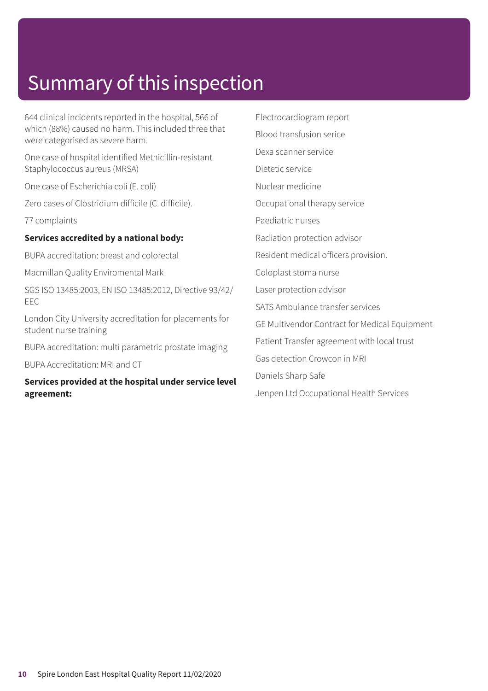644 clinical incidents reported in the hospital, 566 of which (88%) caused no harm. This included three that were categorised as severe harm.

One case of hospital identified Methicillin-resistant Staphylococcus aureus (MRSA)

One case of Escherichia coli (E. coli)

Zero cases of Clostridium difficile (C. difficile).

77 complaints

#### **Services accredited by a national body:**

BUPA accreditation: breast and colorectal

Macmillan Quality Enviromental Mark

SGS ISO 13485:2003, EN ISO 13485:2012, Directive 93/42/ EEC

London City University accreditation for placements for student nurse training

BUPA accreditation: multi parametric prostate imaging

BUPA Accreditation: MRI and CT

#### **Services provided at the hospital under service level agreement:**

Electrocardiogram report Blood transfusion serice Dexa scanner service Dietetic service Nuclear medicine Occupational therapy service Paediatric nurses Radiation protection advisor Resident medical officers provision. Coloplast stoma nurse Laser protection advisor SATS Ambulance transfer services GE Multivendor Contract for Medical Equipment Patient Transfer agreement with local trust Gas detection Crowcon in MRI Daniels Sharp Safe Jenpen Ltd Occupational Health Services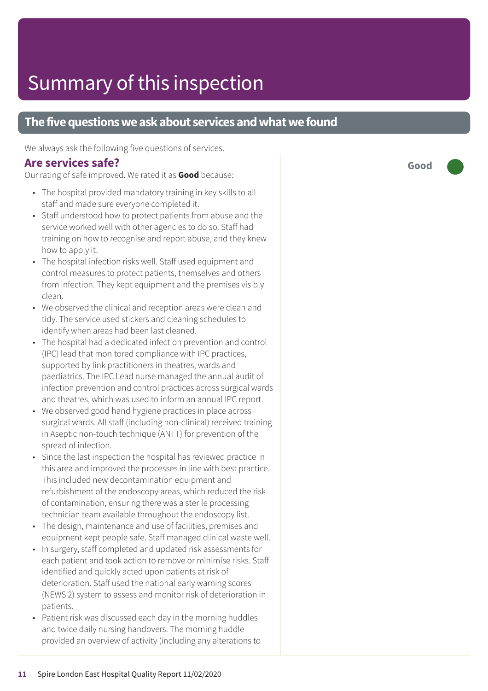### **The five questions we ask about services and what we found**

We always ask the following five questions of services.

### **Are services safe?**

Our rating of safe improved. We rated it as **Good** because:

- The hospital provided mandatory training in key skills to all staff and made sure everyone completed it.
- Staff understood how to protect patients from abuse and the service worked well with other agencies to do so. Staff had training on how to recognise and report abuse, and they knew how to apply it.
- The hospital infection risks well. Staff used equipment and control measures to protect patients, themselves and others from infection. They kept equipment and the premises visibly clean.
- We observed the clinical and reception areas were clean and tidy. The service used stickers and cleaning schedules to identify when areas had been last cleaned.
- The hospital had a dedicated infection prevention and control (IPC) lead that monitored compliance with IPC practices, supported by link practitioners in theatres, wards and paediatrics. The IPC Lead nurse managed the annual audit of infection prevention and control practices across surgical wards and theatres, which was used to inform an annual IPC report.
- We observed good hand hygiene practices in place across surgical wards. All staff (including non-clinical) received training in Aseptic non-touch technique (ANTT) for prevention of the spread of infection.
- Since the last inspection the hospital has reviewed practice in this area and improved the processes in line with best practice. This included new decontamination equipment and refurbishment of the endoscopy areas, which reduced the risk of contamination, ensuring there was a sterile processing technician team available throughout the endoscopy list.
- The design, maintenance and use of facilities, premises and equipment kept people safe. Staff managed clinical waste well.
- In surgery, staff completed and updated risk assessments for each patient and took action to remove or minimise risks. Staff identified and quickly acted upon patients at risk of deterioration. Staff used the national early warning scores (NEWS 2) system to assess and monitor risk of deterioration in patients.
- Patient risk was discussed each day in the morning huddles and twice daily nursing handovers. The morning huddle provided an overview of activity (including any alterations to

**Good –––**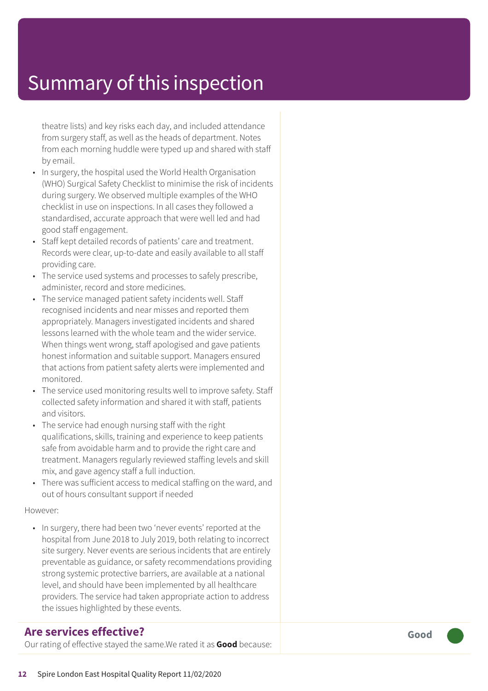theatre lists) and key risks each day, and included attendance from sur ger y staff, as well as the heads of department. Notes from each morning huddle wer e typed up and shared with staff by email.

- In surgery, the hospital used the World Health Organisation (WHO) Surgical Saf ety Checklist t o minimise the risk of incidents during sur ger y. We observed multiple examples of the WHO checklist in use on inspections. In all cases the y followed a standardised, accurat e appr oach that wer e well led and had good staff engagement.
- Staff kept detailed records of patients' care and treatment. Records were clear, up-to-date and easily available to all staff providing care.
- The servic e used systems and processes t o safely prescribe, administer , recor d and stor e medicines.
- The servic e managed patient saf ety incidents well. Staff recognised incidents and near misses and reported them appropriately. Manager s investigated incidents and shared lessons learned with the whole team and the wider service. When things went wrong, staff apologised and gave patients honest information and suitable support. Manager s ensured that actions from patient saf ety alerts wer e implemented and monitored.
- The service used monitoring results well to improve safety. Staff collected saf ety information and shared it with staff, patients and visitors.
- The servic e had enough nursing staff with the right qualifications, skills, training and experienc e t o keep patients saf e from avoidable harm and t o provide the right car e and treatment. Managers regularly reviewed staffing levels and skill mix, and gave agenc y staff a full induction.
- Ther e was sufficient ac cess t o medical staffing on the ward, and out of hour s consultant support if needed

#### However:

• In surgery, there had been two 'never events' reported at the hospital from June 2018 t o July 2019, both relating t o incorrect site surgery. Never events are serious incidents that are entirely pr eventable as guidance, or saf ety recommendations providing strong systemic protective barriers, ar e available at a national level, and should have been implemented by all healthcar e providers. The servic e had taken appropriat e action t o address the issues highlighted by these events.

### **Ar e services effective ?**

Our rating of effective stayed the same.We rated it as **Good** because:

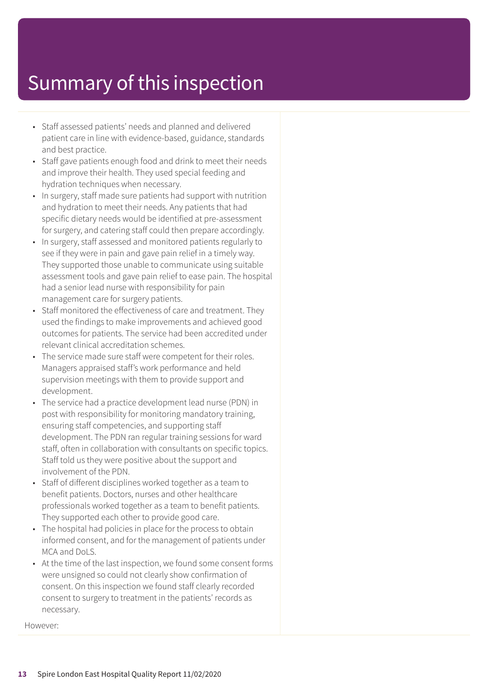- Staff assessed patients' needs and planned and delivered patient care in line with evidence-based, guidance, standards and best practice.
- Staff gave patients enough food and drink to meet their needs and improve their health. They used special feeding and hydration techniques when necessary.
- In surgery, staff made sure patients had support with nutrition and hydration to meet their needs. Any patients that had specific dietary needs would be identified at pre-assessment for surgery, and catering staff could then prepare accordingly.
- In surgery, staff assessed and monitored patients regularly to see if they were in pain and gave pain relief in a timely way. They supported those unable to communicate using suitable assessment tools and gave pain relief to ease pain. The hospital had a senior lead nurse with responsibility for pain management care for surgery patients.
- Staff monitored the effectiveness of care and treatment. They used the findings to make improvements and achieved good outcomes for patients. The service had been accredited under relevant clinical accreditation schemes.
- The service made sure staff were competent for their roles. Managers appraised staff's work performance and held supervision meetings with them to provide support and development.
- The service had a practice development lead nurse (PDN) in post with responsibility for monitoring mandatory training, ensuring staff competencies, and supporting staff development. The PDN ran regular training sessions for ward staff, often in collaboration with consultants on specific topics. Staff told us they were positive about the support and involvement of the PDN.
- Staff of different disciplines worked together as a team to benefit patients. Doctors, nurses and other healthcare professionals worked together as a team to benefit patients. They supported each other to provide good care.
- The hospital had policies in place for the process to obtain informed consent, and for the management of patients under MCA and DoLS.
- At the time of the last inspection, we found some consent forms were unsigned so could not clearly show confirmation of consent. On this inspection we found staff clearly recorded consent to surgery to treatment in the patients' records as necessary.

However: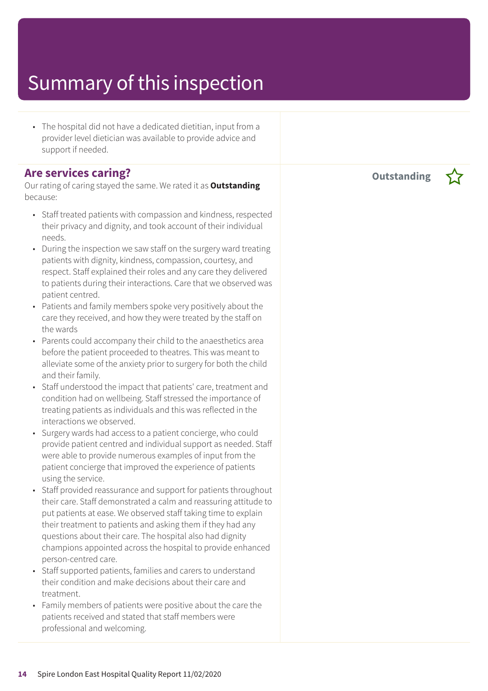• The hospital did not have a dedicated dietitian, input from a provider level dietician was available to provide advice and support if needed.

### **Are services caring?**

Our rating of caring stayed the same. We rated it as **Outstanding** because:

- Staff treated patients with compassion and kindness, respected their privacy and dignity, and took account of their individual needs.
- During the inspection we saw staff on the surgery ward treating patients with dignity, kindness, compassion, courtesy, and respect. Staff explained their roles and any care they delivered to patients during their interactions. Care that we observed was patient centred.
- Patients and family members spoke very positively about the care they received, and how they were treated by the staff on the wards
- Parents could accompany their child to the anaesthetics area before the patient proceeded to theatres. This was meant to alleviate some of the anxiety prior to surgery for both the child and their family.
- Staff understood the impact that patients' care, treatment and condition had on wellbeing. Staff stressed the importance of treating patients as individuals and this was reflected in the interactions we observed.
- Surgery wards had access to a patient concierge, who could provide patient centred and individual support as needed. Staff were able to provide numerous examples of input from the patient concierge that improved the experience of patients using the service.
- Staff provided reassurance and support for patients throughout their care. Staff demonstrated a calm and reassuring attitude to put patients at ease. We observed staff taking time to explain their treatment to patients and asking them if they had any questions about their care. The hospital also had dignity champions appointed across the hospital to provide enhanced person-centred care.
- Staff supported patients, families and carers to understand their condition and make decisions about their care and treatment.
- Family members of patients were positive about the care the patients received and stated that staff members were professional and welcoming.

**Outstanding –**

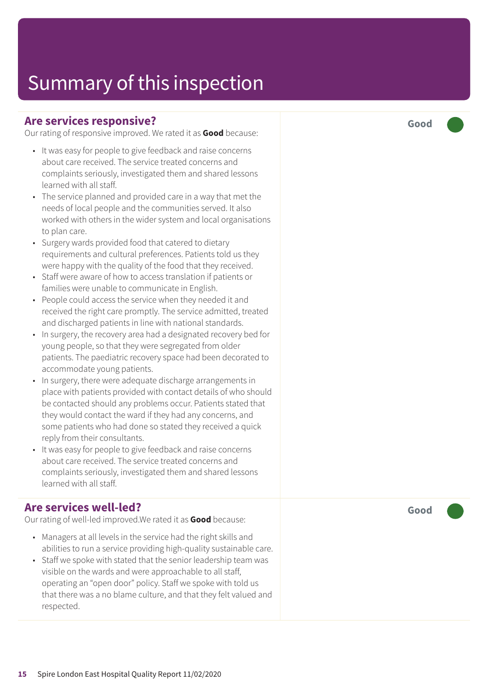### **Are services responsive?**

Our rating of responsive improved. We rated it as **Good** because:

- It was easy for people to give feedback and raise concerns about care received. The service treated concerns and complaints seriously, investigated them and shared lessons learned with all staff.
- The service planned and provided care in a way that met the needs of local people and the communities served. It also worked with others in the wider system and local organisations to plan care.
- Surgery wards provided food that catered to dietary requirements and cultural preferences. Patients told us they were happy with the quality of the food that they received.
- Staff were aware of how to access translation if patients or families were unable to communicate in English.
- People could access the service when they needed it and received the right care promptly. The service admitted, treated and discharged patients in line with national standards.
- In surgery, the recovery area had a designated recovery bed for young people, so that they were segregated from older patients. The paediatric recovery space had been decorated to accommodate young patients.
- In surgery, there were adequate discharge arrangements in place with patients provided with contact details of who should be contacted should any problems occur. Patients stated that they would contact the ward if they had any concerns, and some patients who had done so stated they received a quick reply from their consultants.
- It was easy for people to give feedback and raise concerns about care received. The service treated concerns and complaints seriously, investigated them and shared lessons learned with all staff.

### **Are services well-led?**

Our rating of well-led improved.We rated it as **Good** because:

- Managers at all levels in the service had the right skills and abilities to run a service providing high-quality sustainable care.
- Staff we spoke with stated that the senior leadership team was visible on the wards and were approachable to all staff, operating an "open door" policy. Staff we spoke with told us that there was a no blame culture, and that they felt valued and respected.

**Good –––**

**Good –––**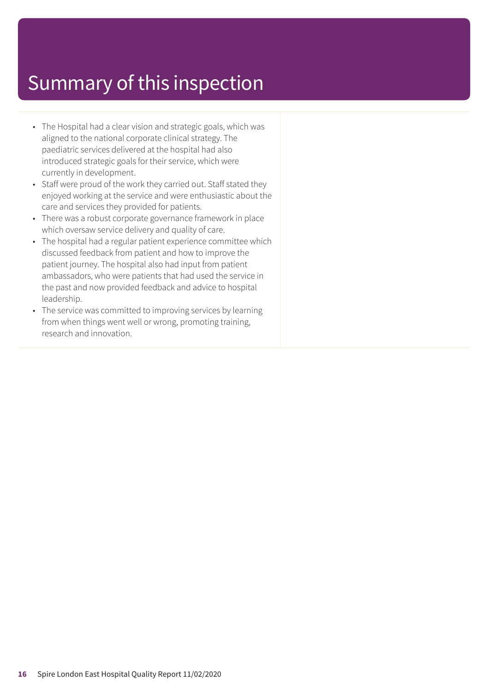- The Hospital had a clear vision and strategic goals, which was aligned to the national corporate clinical strategy. The paediatric services delivered at the hospital had also introduced strategic goals for their service, which were currently in development.
- Staff were proud of the work they carried out. Staff stated they enjoyed working at the service and were enthusiastic about the care and services they provided for patients.
- There was a robust corporate governance framework in place which oversaw service delivery and quality of care.
- The hospital had a regular patient experience committee which discussed feedback from patient and how to improve the patient journey. The hospital also had input from patient ambassadors, who were patients that had used the service in the past and now provided feedback and advice to hospital leadership.
- The service was committed to improving services by learning from when things went well or wrong, promoting training, research and innovation.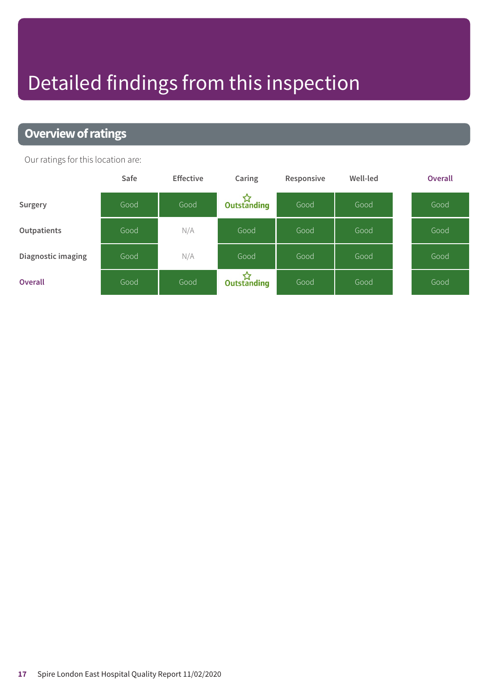# Detailed findings from this inspection

### **Overview of ratings**

Our ratings for this location are:

|                    | Safe | <b>Effective</b> | Caring      | Responsive | Well-led | <b>Overall</b> |
|--------------------|------|------------------|-------------|------------|----------|----------------|
| Surgery            | Good | Good             | Outstanding | Good       | Good     | Good           |
| Outpatients        | Good | N/A              | Good        | Good       | Good     | Good           |
| Diagnostic imaging | Good | N/A              | Good        | Good       | Good     | Good           |
| <b>Overall</b>     | Good | Good             | Dutstanding | Good       | Good     | Good           |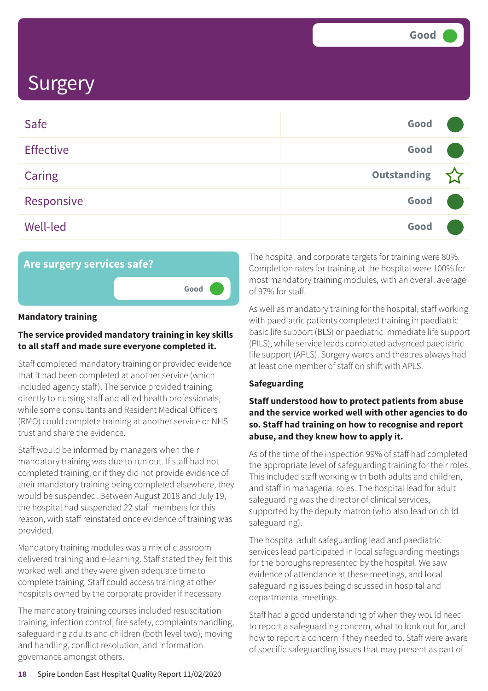| Safe             | Good               |  |
|------------------|--------------------|--|
| <b>Effective</b> | Good               |  |
| <b>Caring</b>    | <b>Outstanding</b> |  |
| Responsive       | Good               |  |
| <b>Well-led</b>  | Good               |  |



#### **Mandatory training**

#### **The service provided mandatory training in key skills to all staff and made sure everyone completed it.**

Staff completed mandatory training or provided evidence that it had been completed at another service (which included agency staff). The service provided training directly to nursing staff and allied health professionals, while some consultants and Resident Medical Officers (RMO) could complete training at another service or NHS trust and share the evidence.

Staff would be informed by managers when their mandatory training was due to run out. If staff had not completed training, or if they did not provide evidence of their mandatory training being completed elsewhere, they would be suspended. Between August 2018 and July 19, the hospital had suspended 22 staff members for this reason, with staff reinstated once evidence of training was provided.

Mandatory training modules was a mix of classroom delivered training and e-learning. Staff stated they felt this worked well and they were given adequate time to complete training. Staff could access training at other hospitals owned by the corporate provider if necessary.

The mandatory training courses included resuscitation training, infection control, fire safety, complaints handling, safeguarding adults and children (both level two), moving and handling, conflict resolution, and information governance amongst others.

The hospital and corporate targets for training were 80%. Completion rates for training at the hospital were 100% for most mandatory training modules, with an overall average of 97% for staff.

As well as mandatory training for the hospital, staff working with paediatric patients completed training in paediatric basic life support (BLS) or paediatric immediate life support (PILS), while service leads completed advanced paediatric life support (APLS). Surgery wards and theatres always had at least one member of staff on shift with APLS.

#### **Safeguarding**

#### **Staff understood how to protect patients from abuse and the service worked well with other agencies to do so. Staff had training on how to recognise and report abuse, and they knew how to apply it.**

As of the time of the inspection 99% of staff had completed the appropriate level of safeguarding training for their roles. This included staff working with both adults and children, and staff in managerial roles. The hospital lead for adult safeguarding was the director of clinical services, supported by the deputy matron (who also lead on child safeguarding).

The hospital adult safeguarding lead and paediatric services lead participated in local safeguarding meetings for the boroughs represented by the hospital. We saw evidence of attendance at these meetings, and local safeguarding issues being discussed in hospital and departmental meetings.

Staff had a good understanding of when they would need to report a safeguarding concern, what to look out for, and how to report a concern if they needed to. Staff were aware of specific safeguarding issues that may present as part of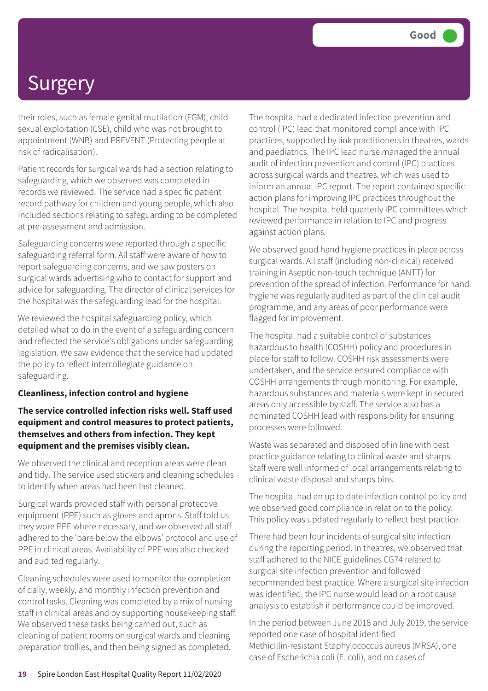their roles, such as female genital mutilation (FGM), child sexual exploitation (CSE), child who was not brought to appointment (WNB) and PREVENT (Protecting people at risk of radicalisation).

Patient records for surgical wards had a section relating to safeguarding, which we observed was completed in records we reviewed. The service had a specific patient record pathway for children and young people, which also included sections relating to safeguarding to be completed at pre-assessment and admission.

Safeguarding concerns were reported through a specific safeguarding referral form. All staff were aware of how to report safeguarding concerns, and we saw posters on surgical wards advertising who to contact for support and advice for safeguarding. The director of clinical services for the hospital was the safeguarding lead for the hospital.

We reviewed the hospital safeguarding policy, which detailed what to do in the event of a safeguarding concern and reflected the service's obligations under safeguarding legislation. We saw evidence that the service had updated the policy to reflect intercollegiate guidance on safeguarding.

#### **Cleanliness, infection control and hygiene**

#### **The service controlled infection risks well. Staff used equipment and control measures to protect patients, themselves and others from infection. They kept equipment and the premises visibly clean.**

We observed the clinical and reception areas were clean and tidy. The service used stickers and cleaning schedules to identify when areas had been last cleaned.

Surgical wards provided staff with personal protective equipment (PPE) such as gloves and aprons. Staff told us they wore PPE where necessary, and we observed all staff adhered to the 'bare below the elbows' protocol and use of PPE in clinical areas. Availability of PPE was also checked and audited regularly.

Cleaning schedules were used to monitor the completion of daily, weekly, and monthly infection prevention and control tasks. Cleaning was completed by a mix of nursing staff in clinical areas and by supporting housekeeping staff. We observed these tasks being carried out, such as cleaning of patient rooms on surgical wards and cleaning preparation trollies, and then being signed as completed.

The hospital had a dedicated infection prevention and control (IPC) lead that monitored compliance with IPC practices, supported by link practitioners in theatres, wards and paediatrics. The IPC lead nurse managed the annual audit of infection prevention and control (IPC) practices across surgical wards and theatres, which was used to inform an annual IPC report. The report contained specific action plans for improving IPC practices throughout the hospital. The hospital held quarterly IPC committees which reviewed performance in relation to IPC and progress against action plans.

We observed good hand hygiene practices in place across surgical wards. All staff (including non-clinical) received training in Aseptic non-touch technique (ANTT) for prevention of the spread of infection. Performance for hand hygiene was regularly audited as part of the clinical audit programme, and any areas of poor performance were flagged for improvement.

The hospital had a suitable control of substances hazardous to health (COSHH) policy and procedures in place for staff to follow. COSHH risk assessments were undertaken, and the service ensured compliance with COSHH arrangements through monitoring. For example, hazardous substances and materials were kept in secured areas only accessible by staff. The service also has a nominated COSHH lead with responsibility for ensuring processes were followed.

Waste was separated and disposed of in line with best practice guidance relating to clinical waste and sharps. Staff were well informed of local arrangements relating to clinical waste disposal and sharps bins.

The hospital had an up to date infection control policy and we observed good compliance in relation to the policy. This policy was updated regularly to reflect best practice.

There had been four incidents of surgical site infection during the reporting period. In theatres, we observed that staff adhered to the NICE guidelines CG74 related to surgical site infection prevention and followed recommended best practice. Where a surgical site infection was identified, the IPC nurse would lead on a root cause analysis to establish if performance could be improved.

In the period between June 2018 and July 2019, the service reported one case of hospital identified Methicillin-resistant Staphylococcus aureus (MRSA), one case of Escherichia coli (E. coli), and no cases of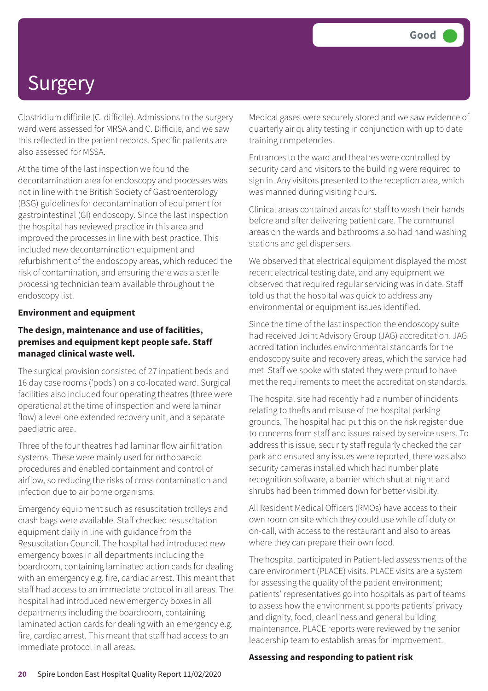Clostridium difficile (C. difficile). Admissions to the surgery ward were assessed for MRSA and C. Difficile, and we saw this reflected in the patient records. Specific patients are also assessed for MSSA.

At the time of the last inspection we found the decontamination area for endoscopy and processes was not in line with the British Society of Gastroenterology (BSG) guidelines for decontamination of equipment for gastrointestinal (GI) endoscopy. Since the last inspection the hospital has reviewed practice in this area and improved the processes in line with best practice. This included new decontamination equipment and refurbishment of the endoscopy areas, which reduced the risk of contamination, and ensuring there was a sterile processing technician team available throughout the endoscopy list.

#### **Environment and equipment**

#### **The design, maintenance and use of facilities, premises and equipment kept people safe. Staff managed clinical waste well.**

The surgical provision consisted of 27 inpatient beds and 16 day case rooms ('pods') on a co-located ward. Surgical facilities also included four operating theatres (three were operational at the time of inspection and were laminar flow) a level one extended recovery unit, and a separate paediatric area.

Three of the four theatres had laminar flow air filtration systems. These were mainly used for orthopaedic procedures and enabled containment and control of airflow, so reducing the risks of cross contamination and infection due to air borne organisms.

Emergency equipment such as resuscitation trolleys and crash bags were available. Staff checked resuscitation equipment daily in line with guidance from the Resuscitation Council. The hospital had introduced new emergency boxes in all departments including the boardroom, containing laminated action cards for dealing with an emergency e.g. fire, cardiac arrest. This meant that staff had access to an immediate protocol in all areas. The hospital had introduced new emergency boxes in all departments including the boardroom, containing laminated action cards for dealing with an emergency e.g. fire, cardiac arrest. This meant that staff had access to an immediate protocol in all areas.

Medical gases were securely stored and we saw evidence of quarterly air quality testing in conjunction with up to date training competencies.

Entrances to the ward and theatres were controlled by security card and visitors to the building were required to sign in. Any visitors presented to the reception area, which was manned during visiting hours.

Clinical areas contained areas for staff to wash their hands before and after delivering patient care. The communal areas on the wards and bathrooms also had hand washing stations and gel dispensers.

We observed that electrical equipment displayed the most recent electrical testing date, and any equipment we observed that required regular servicing was in date. Staff told us that the hospital was quick to address any environmental or equipment issues identified.

Since the time of the last inspection the endoscopy suite had received Joint Advisory Group (JAG) accreditation. JAG accreditation includes environmental standards for the endoscopy suite and recovery areas, which the service had met. Staff we spoke with stated they were proud to have met the requirements to meet the accreditation standards.

The hospital site had recently had a number of incidents relating to thefts and misuse of the hospital parking grounds. The hospital had put this on the risk register due to concerns from staff and issues raised by service users. To address this issue, security staff regularly checked the car park and ensured any issues were reported, there was also security cameras installed which had number plate recognition software, a barrier which shut at night and shrubs had been trimmed down for better visibility.

All Resident Medical Officers (RMOs) have access to their own room on site which they could use while off duty or on-call, with access to the restaurant and also to areas where they can prepare their own food.

The hospital participated in Patient-led assessments of the care environment (PLACE) visits. PLACE visits are a system for assessing the quality of the patient environment; patients' representatives go into hospitals as part of teams to assess how the environment supports patients' privacy and dignity, food, cleanliness and general building maintenance. PLACE reports were reviewed by the senior leadership team to establish areas for improvement.

#### **Assessing and responding to patient risk**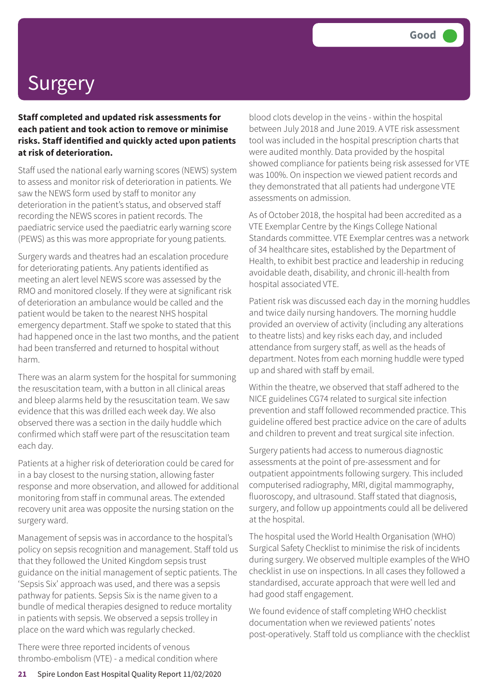**Staff completed and updated risk assessments for each patient and took action to remove or minimise risks. Staff identified and quickly acted upon patients at risk of deterioration.**

Staff used the national early warning scores (NEWS) system to assess and monitor risk of deterioration in patients. We saw the NEWS form used by staff to monitor any deterioration in the patient's status, and observed staff recording the NEWS scores in patient records. The paediatric service used the paediatric early warning score (PEWS) as this was more appropriate for young patients.

Surgery wards and theatres had an escalation procedure for deteriorating patients. Any patients identified as meeting an alert level NEWS score was assessed by the RMO and monitored closely. If they were at significant risk of deterioration an ambulance would be called and the patient would be taken to the nearest NHS hospital emergency department. Staff we spoke to stated that this had happened once in the last two months, and the patient had been transferred and returned to hospital without harm.

There was an alarm system for the hospital for summoning the resuscitation team, with a button in all clinical areas and bleep alarms held by the resuscitation team. We saw evidence that this was drilled each week day. We also observed there was a section in the daily huddle which confirmed which staff were part of the resuscitation team each day.

Patients at a higher risk of deterioration could be cared for in a bay closest to the nursing station, allowing faster response and more observation, and allowed for additional monitoring from staff in communal areas. The extended recovery unit area was opposite the nursing station on the surgery ward.

Management of sepsis was in accordance to the hospital's policy on sepsis recognition and management. Staff told us that they followed the United Kingdom sepsis trust guidance on the initial management of septic patients. The 'Sepsis Six' approach was used, and there was a sepsis pathway for patients. Sepsis Six is the name given to a bundle of medical therapies designed to reduce mortality in patients with sepsis. We observed a sepsis trolley in place on the ward which was regularly checked.

There were three reported incidents of venous thrombo-embolism (VTE) - a medical condition where blood clots develop in the veins - within the hospital between July 2018 and June 2019. A VTE risk assessment tool was included in the hospital prescription charts that were audited monthly. Data provided by the hospital showed compliance for patients being risk assessed for VTE was 100%. On inspection we viewed patient records and they demonstrated that all patients had undergone VTE assessments on admission.

As of October 2018, the hospital had been accredited as a VTE Exemplar Centre by the Kings College National Standards committee. VTE Exemplar centres was a network of 34 healthcare sites, established by the Department of Health, to exhibit best practice and leadership in reducing avoidable death, disability, and chronic ill-health from hospital associated VTE.

Patient risk was discussed each day in the morning huddles and twice daily nursing handovers. The morning huddle provided an overview of activity (including any alterations to theatre lists) and key risks each day, and included attendance from surgery staff, as well as the heads of department. Notes from each morning huddle were typed up and shared with staff by email.

Within the theatre, we observed that staff adhered to the NICE guidelines CG74 related to surgical site infection prevention and staff followed recommended practice. This guideline offered best practice advice on the care of adults and children to prevent and treat surgical site infection.

Surgery patients had access to numerous diagnostic assessments at the point of pre-assessment and for outpatient appointments following surgery. This included computerised radiography, MRI, digital mammography, fluoroscopy, and ultrasound. Staff stated that diagnosis, surgery, and follow up appointments could all be delivered at the hospital.

The hospital used the World Health Organisation (WHO) Surgical Safety Checklist to minimise the risk of incidents during surgery. We observed multiple examples of the WHO checklist in use on inspections. In all cases they followed a standardised, accurate approach that were well led and had good staff engagement.

We found evidence of staff completing WHO checklist documentation when we reviewed patients' notes post-operatively. Staff told us compliance with the checklist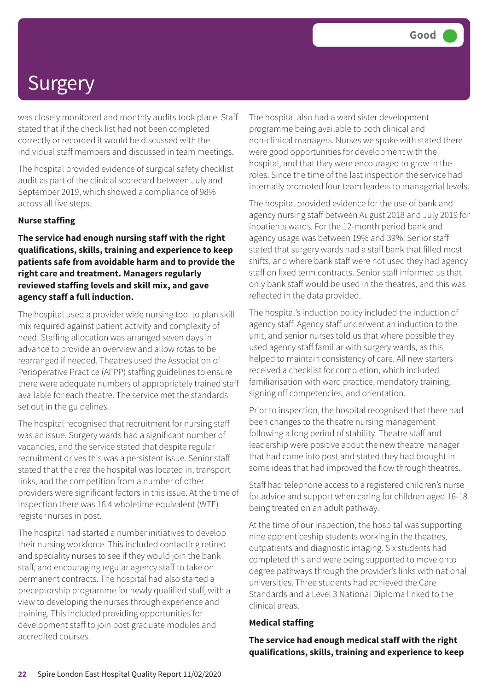was closely monitored and monthly audits took place. Staff stated that if the check list had not been completed correctly or recorded it would be discussed with the individual staff members and discussed in team meetings.

The hospital provided evidence of surgical safety checklist audit as part of the clinical scorecard between July and September 2019, which showed a compliance of 98% across all five steps.

#### **Nurse staffing**

**The service had enough nursing staff with the right qualifications, skills, training and experience to keep patients safe from avoidable harm and to provide the right care and treatment. Managers regularly reviewed staffing levels and skill mix, and gave agency staff a full induction.**

The hospital used a provider wide nursing tool to plan skill mix required against patient activity and complexity of need. Staffing allocation was arranged seven days in advance to provide an overview and allow rotas to be rearranged if needed. Theatres used the Association of Perioperative Practice (AFPP) staffing guidelines to ensure there were adequate numbers of appropriately trained staff available for each theatre. The service met the standards set out in the guidelines.

The hospital recognised that recruitment for nursing staff was an issue. Surgery wards had a significant number of vacancies, and the service stated that despite regular recruitment drives this was a persistent issue. Senior staff stated that the area the hospital was located in, transport links, and the competition from a number of other providers were significant factors in this issue. At the time of inspection there was 16.4 wholetime equivalent (WTE) register nurses in post.

The hospital had started a number initiatives to develop their nursing workforce. This included contacting retired and speciality nurses to see if they would join the bank staff, and encouraging regular agency staff to take on permanent contracts. The hospital had also started a preceptorship programme for newly qualified staff, with a view to developing the nurses through experience and training. This included providing opportunities for development staff to join post graduate modules and accredited courses.

The hospital also had a ward sister development programme being available to both clinical and non-clinical managers. Nurses we spoke with stated there were good opportunities for development with the hospital, and that they were encouraged to grow in the roles. Since the time of the last inspection the service had internally promoted four team leaders to managerial levels.

The hospital provided evidence for the use of bank and agency nursing staff between August 2018 and July 2019 for inpatients wards. For the 12-month period bank and agency usage was between 19% and 39%. Senior staff stated that surgery wards had a staff bank that filled most shifts, and where bank staff were not used they had agency staff on fixed term contracts. Senior staff informed us that only bank staff would be used in the theatres, and this was reflected in the data provided.

The hospital's induction policy included the induction of agency staff. Agency staff underwent an induction to the unit, and senior nurses told us that where possible they used agency staff familiar with surgery wards, as this helped to maintain consistency of care. All new starters received a checklist for completion, which included familiarisation with ward practice, mandatory training, signing off competencies, and orientation.

Prior to inspection, the hospital recognised that there had been changes to the theatre nursing management following a long period of stability. Theatre staff and leadership were positive about the new theatre manager that had come into post and stated they had brought in some ideas that had improved the flow through theatres.

Staff had telephone access to a registered children's nurse for advice and support when caring for children aged 16-18 being treated on an adult pathway.

At the time of our inspection, the hospital was supporting nine apprenticeship students working in the theatres, outpatients and diagnostic imaging. Six students had completed this and were being supported to move onto degree pathways through the provider's links with national universities. Three students had achieved the Care Standards and a Level 3 National Diploma linked to the clinical areas.

#### **Medical staffing**

**The service had enough medical staff with the right qualifications, skills, training and experience to keep**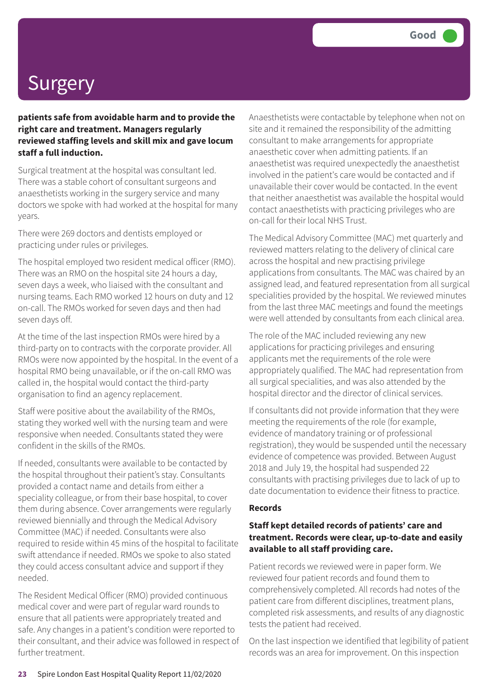**patients safe from avoidable harm and to provide the right care and treatment. Managers regularly reviewed staffing levels and skill mix and gave locum staff a full induction.**

Surgical treatment at the hospital was consultant led. There was a stable cohort of consultant surgeons and anaesthetists working in the surgery service and many doctors we spoke with had worked at the hospital for many years.

There were 269 doctors and dentists employed or practicing under rules or privileges.

The hospital employed two resident medical officer (RMO). There was an RMO on the hospital site 24 hours a day, seven days a week, who liaised with the consultant and nursing teams. Each RMO worked 12 hours on duty and 12 on-call. The RMOs worked for seven days and then had seven days off.

At the time of the last inspection RMOs were hired by a third-party on to contracts with the corporate provider. All RMOs were now appointed by the hospital. In the event of a hospital RMO being unavailable, or if the on-call RMO was called in, the hospital would contact the third-party organisation to find an agency replacement.

Staff were positive about the availability of the RMOs, stating they worked well with the nursing team and were responsive when needed. Consultants stated they were confident in the skills of the RMOs.

If needed, consultants were available to be contacted by the hospital throughout their patient's stay. Consultants provided a contact name and details from either a speciality colleague, or from their base hospital, to cover them during absence. Cover arrangements were regularly reviewed biennially and through the Medical Advisory Committee (MAC) if needed. Consultants were also required to reside within 45 mins of the hospital to facilitate swift attendance if needed. RMOs we spoke to also stated they could access consultant advice and support if they needed.

The Resident Medical Officer (RMO) provided continuous medical cover and were part of regular ward rounds to ensure that all patients were appropriately treated and safe. Any changes in a patient's condition were reported to their consultant, and their advice was followed in respect of further treatment.

Anaesthetists were contactable by telephone when not on site and it remained the responsibility of the admitting consultant to make arrangements for appropriate anaesthetic cover when admitting patients. If an anaesthetist was required unexpectedly the anaesthetist involved in the patient's care would be contacted and if unavailable their cover would be contacted. In the event that neither anaesthetist was available the hospital would contact anaesthetists with practicing privileges who are on-call for their local NHS Trust.

The Medical Advisory Committee (MAC) met quarterly and reviewed matters relating to the delivery of clinical care across the hospital and new practising privilege applications from consultants. The MAC was chaired by an assigned lead, and featured representation from all surgical specialities provided by the hospital. We reviewed minutes from the last three MAC meetings and found the meetings were well attended by consultants from each clinical area.

The role of the MAC included reviewing any new applications for practicing privileges and ensuring applicants met the requirements of the role were appropriately qualified. The MAC had representation from all surgical specialities, and was also attended by the hospital director and the director of clinical services.

If consultants did not provide information that they were meeting the requirements of the role (for example, evidence of mandatory training or of professional registration), they would be suspended until the necessary evidence of competence was provided. Between August 2018 and July 19, the hospital had suspended 22 consultants with practising privileges due to lack of up to date documentation to evidence their fitness to practice.

#### **Records**

#### **Staff kept detailed records of patients' care and treatment. Records were clear, up-to-date and easily available to all staff providing care.**

Patient records we reviewed were in paper form. We reviewed four patient records and found them to comprehensively completed. All records had notes of the patient care from different disciplines, treatment plans, completed risk assessments, and results of any diagnostic tests the patient had received.

On the last inspection we identified that legibility of patient records was an area for improvement. On this inspection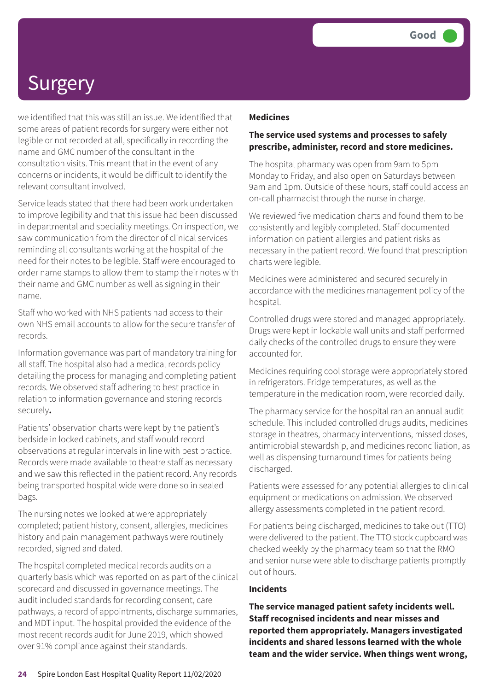we identified that this was still an issue. We identified that some areas of patient records for surgery were either not legible or not recorded at all, specifically in recording the name and GMC number of the consultant in the consultation visits. This meant that in the event of any concerns or incidents, it would be difficult to identify the relevant consultant involved.

Service leads stated that there had been work undertaken to improve legibility and that this issue had been discussed in departmental and speciality meetings. On inspection, we saw communication from the director of clinical services reminding all consultants working at the hospital of the need for their notes to be legible. Staff were encouraged to order name stamps to allow them to stamp their notes with their name and GMC number as well as signing in their name.

Staff who worked with NHS patients had access to their own NHS email accounts to allow for the secure transfer of records.

Information governance was part of mandatory training for all staff. The hospital also had a medical records policy detailing the process for managing and completing patient records. We observed staff adhering to best practice in relation to information governance and storing records securely**.**

Patients' observation charts were kept by the patient's bedside in locked cabinets, and staff would record observations at regular intervals in line with best practice. Records were made available to theatre staff as necessary and we saw this reflected in the patient record. Any records being transported hospital wide were done so in sealed bags.

The nursing notes we looked at were appropriately completed; patient history, consent, allergies, medicines history and pain management pathways were routinely recorded, signed and dated.

The hospital completed medical records audits on a quarterly basis which was reported on as part of the clinical scorecard and discussed in governance meetings. The audit included standards for recording consent, care pathways, a record of appointments, discharge summaries, and MDT input. The hospital provided the evidence of the most recent records audit for June 2019, which showed over 91% compliance against their standards.

#### **Medicines**

#### **The service used systems and processes to safely prescribe, administer, record and store medicines.**

The hospital pharmacy was open from 9am to 5pm Monday to Friday, and also open on Saturdays between 9am and 1pm. Outside of these hours, staff could access an on-call pharmacist through the nurse in charge.

We reviewed five medication charts and found them to be consistently and legibly completed. Staff documented information on patient allergies and patient risks as necessary in the patient record. We found that prescription charts were legible.

Medicines were administered and secured securely in accordance with the medicines management policy of the hospital.

Controlled drugs were stored and managed appropriately. Drugs were kept in lockable wall units and staff performed daily checks of the controlled drugs to ensure they were accounted for.

Medicines requiring cool storage were appropriately stored in refrigerators. Fridge temperatures, as well as the temperature in the medication room, were recorded daily.

The pharmacy service for the hospital ran an annual audit schedule. This included controlled drugs audits, medicines storage in theatres, pharmacy interventions, missed doses, antimicrobial stewardship, and medicines reconciliation, as well as dispensing turnaround times for patients being discharged.

Patients were assessed for any potential allergies to clinical equipment or medications on admission. We observed allergy assessments completed in the patient record.

For patients being discharged, medicines to take out (TTO) were delivered to the patient. The TTO stock cupboard was checked weekly by the pharmacy team so that the RMO and senior nurse were able to discharge patients promptly out of hours.

#### **Incidents**

**The service managed patient safety incidents well. Staff recognised incidents and near misses and reported them appropriately. Managers investigated incidents and shared lessons learned with the whole team and the wider service. When things went wrong,**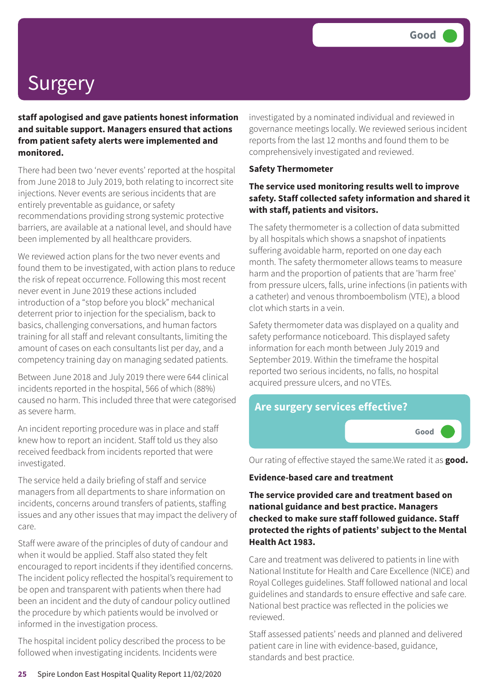**staff apologised and gave patients honest information and suitable support. Managers ensured that actions from patient safety alerts were implemented and monitored.**

There had been two 'never events' reported at the hospital from June 2018 to July 2019, both relating to incorrect site injections. Never events are serious incidents that are entirely preventable as guidance, or safety recommendations providing strong systemic protective barriers, are available at a national level, and should have been implemented by all healthcare providers.

We reviewed action plans for the two never events and found them to be investigated, with action plans to reduce the risk of repeat occurrence. Following this most recent never event in June 2019 these actions included introduction of a "stop before you block" mechanical deterrent prior to injection for the specialism, back to basics, challenging conversations, and human factors training for all staff and relevant consultants, limiting the amount of cases on each consultants list per day, and a competency training day on managing sedated patients.

Between June 2018 and July 2019 there were 644 clinical incidents reported in the hospital, 566 of which (88%) caused no harm. This included three that were categorised as severe harm.

An incident reporting procedure was in place and staff knew how to report an incident. Staff told us they also received feedback from incidents reported that were investigated.

The service held a daily briefing of staff and service managers from all departments to share information on incidents, concerns around transfers of patients, staffing issues and any other issues that may impact the delivery of care.

Staff were aware of the principles of duty of candour and when it would be applied. Staff also stated they felt encouraged to report incidents if they identified concerns. The incident policy reflected the hospital's requirement to be open and transparent with patients when there had been an incident and the duty of candour policy outlined the procedure by which patients would be involved or informed in the investigation process.

The hospital incident policy described the process to be followed when investigating incidents. Incidents were

investigated by a nominated individual and reviewed in governance meetings locally. We reviewed serious incident reports from the last 12 months and found them to be comprehensively investigated and reviewed.

#### **Safety Thermometer**

#### **The service used monitoring results well to improve safety. Staff collected safety information and shared it with staff, patients and visitors.**

The safety thermometer is a collection of data submitted by all hospitals which shows a snapshot of inpatients suffering avoidable harm, reported on one day each month. The safety thermometer allows teams to measure harm and the proportion of patients that are 'harm free' from pressure ulcers, falls, urine infections (in patients with a catheter) and venous thromboembolism (VTE), a blood clot which starts in a vein.

Safety thermometer data was displayed on a quality and safety performance noticeboard. This displayed safety information for each month between July 2019 and September 2019. Within the timeframe the hospital reported two serious incidents, no falls, no hospital acquired pressure ulcers, and no VTEs.



Our rating of effective stayed the same.We rated it as **good.**

#### **Evidence-based care and treatment**

**The service provided care and treatment based on national guidance and best practice. Managers checked to make sure staff followed guidance. Staff protected the rights of patients' subject to the Mental Health Act 1983.**

Care and treatment was delivered to patients in line with National Institute for Health and Care Excellence (NICE) and Royal Colleges guidelines. Staff followed national and local guidelines and standards to ensure effective and safe care. National best practice was reflected in the policies we reviewed.

Staff assessed patients' needs and planned and delivered patient care in line with evidence-based, guidance, standards and best practice.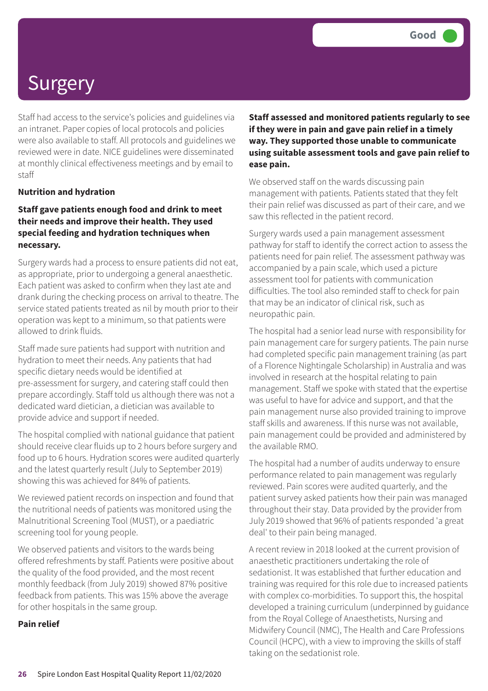Staff had access to the service's policies and guidelines via an intranet. Paper copies of local protocols and policies were also available to staff. All protocols and guidelines we reviewed were in date. NICE guidelines were disseminated at monthly clinical effectiveness meetings and by email to staff

#### **Nutrition and hydration**

#### **Staff gave patients enough food and drink to meet their needs and improve their health. They used special feeding and hydration techniques when necessary.**

Surgery wards had a process to ensure patients did not eat, as appropriate, prior to undergoing a general anaesthetic. Each patient was asked to confirm when they last ate and drank during the checking process on arrival to theatre. The service stated patients treated as nil by mouth prior to their operation was kept to a minimum, so that patients were allowed to drink fluids.

Staff made sure patients had support with nutrition and hydration to meet their needs. Any patients that had specific dietary needs would be identified at pre-assessment for surgery, and catering staff could then prepare accordingly. Staff told us although there was not a dedicated ward dietician, a dietician was available to provide advice and support if needed.

The hospital complied with national guidance that patient should receive clear fluids up to 2 hours before surgery and food up to 6 hours. Hydration scores were audited quarterly and the latest quarterly result (July to September 2019) showing this was achieved for 84% of patients.

We reviewed patient records on inspection and found that the nutritional needs of patients was monitored using the Malnutritional Screening Tool (MUST), or a paediatric screening tool for young people.

We observed patients and visitors to the wards being offered refreshments by staff. Patients were positive about the quality of the food provided, and the most recent monthly feedback (from July 2019) showed 87% positive feedback from patients. This was 15% above the average for other hospitals in the same group.

#### **Pain relief**

**Staff assessed and monitored patients regularly to see if they were in pain and gave pain relief in a timely way. They supported those unable to communicate using suitable assessment tools and gave pain relief to ease pain.**

We observed staff on the wards discussing pain management with patients. Patients stated that they felt their pain relief was discussed as part of their care, and we saw this reflected in the patient record.

Surgery wards used a pain management assessment pathway for staff to identify the correct action to assess the patients need for pain relief. The assessment pathway was accompanied by a pain scale, which used a picture assessment tool for patients with communication difficulties. The tool also reminded staff to check for pain that may be an indicator of clinical risk, such as neuropathic pain.

The hospital had a senior lead nurse with responsibility for pain management care for surgery patients. The pain nurse had completed specific pain management training (as part of a Florence Nightingale Scholarship) in Australia and was involved in research at the hospital relating to pain management. Staff we spoke with stated that the expertise was useful to have for advice and support, and that the pain management nurse also provided training to improve staff skills and awareness. If this nurse was not available, pain management could be provided and administered by the available RMO.

The hospital had a number of audits underway to ensure performance related to pain management was regularly reviewed. Pain scores were audited quarterly, and the patient survey asked patients how their pain was managed throughout their stay. Data provided by the provider from July 2019 showed that 96% of patients responded 'a great deal' to their pain being managed.

A recent review in 2018 looked at the current provision of anaesthetic practitioners undertaking the role of sedationist. It was established that further education and training was required for this role due to increased patients with complex co-morbidities. To support this, the hospital developed a training curriculum (underpinned by guidance from the Royal College of Anaesthetists, Nursing and Midwifery Council (NMC), The Health and Care Professions Council (HCPC), with a view to improving the skills of staff taking on the sedationist role.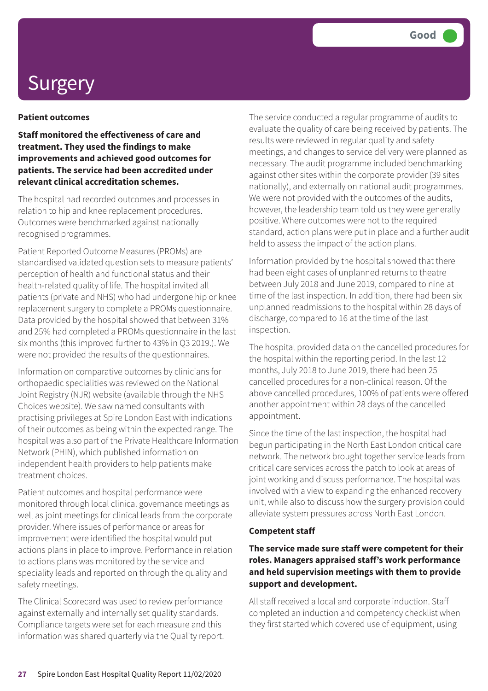#### **Patient outcomes**

**Staff monitored the effectiveness of care and treatment. They used the findings to make improvements and achieved good outcomes for patients. The service had been accredited under relevant clinical accreditation schemes.**

The hospital had recorded outcomes and processes in relation to hip and knee replacement procedures. Outcomes were benchmarked against nationally recognised programmes.

Patient Reported Outcome Measures (PROMs) are standardised validated question sets to measure patients' perception of health and functional status and their health-related quality of life. The hospital invited all patients (private and NHS) who had undergone hip or knee replacement surgery to complete a PROMs questionnaire. Data provided by the hospital showed that between 31% and 25% had completed a PROMs questionnaire in the last six months (this improved further to 43% in Q3 2019.). We were not provided the results of the questionnaires.

Information on comparative outcomes by clinicians for orthopaedic specialities was reviewed on the National Joint Registry (NJR) website (available through the NHS Choices website). We saw named consultants with practising privileges at Spire London East with indications of their outcomes as being within the expected range. The hospital was also part of the Private Healthcare Information Network (PHIN), which published information on independent health providers to help patients make treatment choices.

Patient outcomes and hospital performance were monitored through local clinical governance meetings as well as joint meetings for clinical leads from the corporate provider. Where issues of performance or areas for improvement were identified the hospital would put actions plans in place to improve. Performance in relation to actions plans was monitored by the service and speciality leads and reported on through the quality and safety meetings.

The Clinical Scorecard was used to review performance against externally and internally set quality standards. Compliance targets were set for each measure and this information was shared quarterly via the Quality report. The service conducted a regular programme of audits to evaluate the quality of care being received by patients. The results were reviewed in regular quality and safety meetings, and changes to service delivery were planned as necessary. The audit programme included benchmarking against other sites within the corporate provider (39 sites nationally), and externally on national audit programmes. We were not provided with the outcomes of the audits, however, the leadership team told us they were generally positive. Where outcomes were not to the required standard, action plans were put in place and a further audit held to assess the impact of the action plans.

Information provided by the hospital showed that there had been eight cases of unplanned returns to theatre between July 2018 and June 2019, compared to nine at time of the last inspection. In addition, there had been six unplanned readmissions to the hospital within 28 days of discharge, compared to 16 at the time of the last inspection.

The hospital provided data on the cancelled procedures for the hospital within the reporting period. In the last 12 months, July 2018 to June 2019, there had been 25 cancelled procedures for a non-clinical reason. Of the above cancelled procedures, 100% of patients were offered another appointment within 28 days of the cancelled appointment.

Since the time of the last inspection, the hospital had begun participating in the North East London critical care network. The network brought together service leads from critical care services across the patch to look at areas of joint working and discuss performance. The hospital was involved with a view to expanding the enhanced recovery unit, while also to discuss how the surgery provision could alleviate system pressures across North East London.

#### **Competent staff**

#### **The service made sure staff were competent for their roles. Managers appraised staff's work performance and held supervision meetings with them to provide support and development.**

All staff received a local and corporate induction. Staff completed an induction and competency checklist when they first started which covered use of equipment, using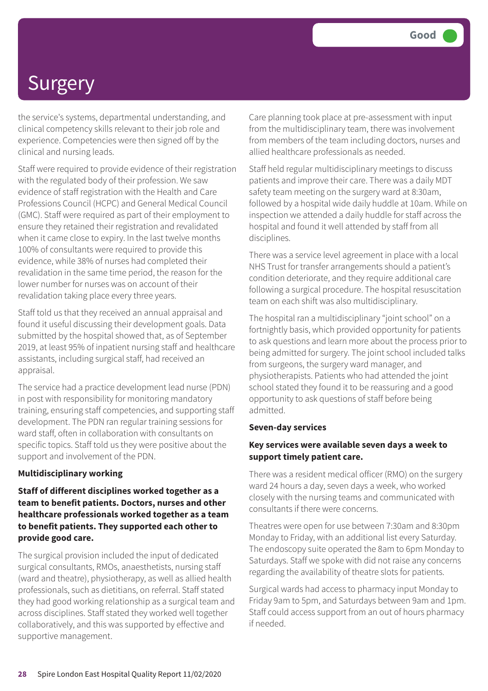the service's systems, departmental understanding, and clinical competency skills relevant to their job role and experience. Competencies were then signed off by the clinical and nursing leads.

Staff were required to provide evidence of their registration with the regulated body of their profession. We saw evidence of staff registration with the Health and Care Professions Council (HCPC) and General Medical Council (GMC). Staff were required as part of their employment to ensure they retained their registration and revalidated when it came close to expiry. In the last twelve months 100% of consultants were required to provide this evidence, while 38% of nurses had completed their revalidation in the same time period, the reason for the lower number for nurses was on account of their revalidation taking place every three years.

Staff told us that they received an annual appraisal and found it useful discussing their development goals. Data submitted by the hospital showed that, as of September 2019, at least 95% of inpatient nursing staff and healthcare assistants, including surgical staff, had received an appraisal.

The service had a practice development lead nurse (PDN) in post with responsibility for monitoring mandatory training, ensuring staff competencies, and supporting staff development. The PDN ran regular training sessions for ward staff, often in collaboration with consultants on specific topics. Staff told us they were positive about the support and involvement of the PDN.

#### **Multidisciplinary working**

**Staff of different disciplines worked together as a team to benefit patients. Doctors, nurses and other healthcare professionals worked together as a team to benefit patients. They supported each other to provide good care.**

The surgical provision included the input of dedicated surgical consultants, RMOs, anaesthetists, nursing staff (ward and theatre), physiotherapy, as well as allied health professionals, such as dietitians, on referral. Staff stated they had good working relationship as a surgical team and across disciplines. Staff stated they worked well together collaboratively, and this was supported by effective and supportive management.

Care planning took place at pre-assessment with input from the multidisciplinary team, there was involvement from members of the team including doctors, nurses and allied healthcare professionals as needed.

Staff held regular multidisciplinary meetings to discuss patients and improve their care. There was a daily MDT safety team meeting on the surgery ward at 8:30am, followed by a hospital wide daily huddle at 10am. While on inspection we attended a daily huddle for staff across the hospital and found it well attended by staff from all disciplines.

There was a service level agreement in place with a local NHS Trust for transfer arrangements should a patient's condition deteriorate, and they require additional care following a surgical procedure. The hospital resuscitation team on each shift was also multidisciplinary.

The hospital ran a multidisciplinary "joint school" on a fortnightly basis, which provided opportunity for patients to ask questions and learn more about the process prior to being admitted for surgery. The joint school included talks from surgeons, the surgery ward manager, and physiotherapists. Patients who had attended the joint school stated they found it to be reassuring and a good opportunity to ask questions of staff before being admitted.

#### **Seven-day services**

#### **Key services were available seven days a week to support timely patient care.**

There was a resident medical officer (RMO) on the surgery ward 24 hours a day, seven days a week, who worked closely with the nursing teams and communicated with consultants if there were concerns.

Theatres were open for use between 7:30am and 8:30pm Monday to Friday, with an additional list every Saturday. The endoscopy suite operated the 8am to 6pm Monday to Saturdays. Staff we spoke with did not raise any concerns regarding the availability of theatre slots for patients.

Surgical wards had access to pharmacy input Monday to Friday 9am to 5pm, and Saturdays between 9am and 1pm. Staff could access support from an out of hours pharmacy if needed.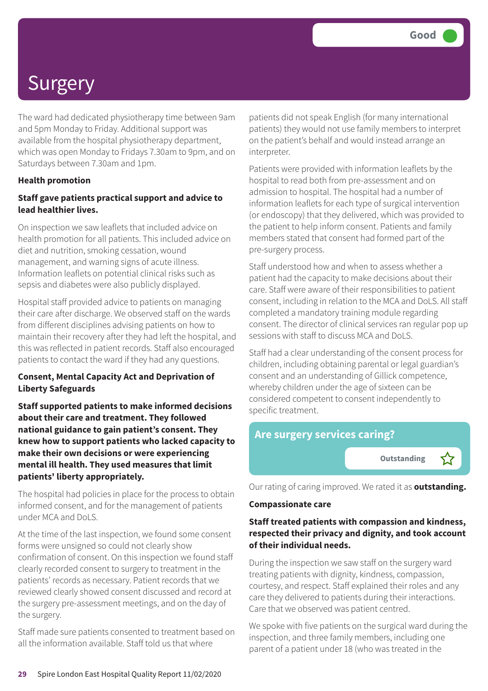The ward had dedicated physiotherapy time between 9am and 5pm Monday to Friday. Additional support was available from the hospital physiotherapy department, which was open Monday to Fridays 7.30am to 9pm, and on Saturdays between 7.30am and 1pm.

#### **Health promotion**

#### **Staff gave patients practical support and advice to lead healthier lives.**

On inspection we saw leaflets that included advice on health promotion for all patients. This included advice on diet and nutrition, smoking cessation, wound management, and warning signs of acute illness. Information leaflets on potential clinical risks such as sepsis and diabetes were also publicly displayed.

Hospital staff provided advice to patients on managing their care after discharge. We observed staff on the wards from different disciplines advising patients on how to maintain their recovery after they had left the hospital, and this was reflected in patient records. Staff also encouraged patients to contact the ward if they had any questions.

#### **Consent, Mental Capacity Act and Deprivation of Liberty Safeguards**

**Staff supported patients to make informed decisions about their care and treatment. They followed national guidance to gain patient's consent. They knew how to support patients who lacked capacity to make their own decisions or were experiencing mental ill health. They used measures that limit patients' liberty appropriately.**

The hospital had policies in place for the process to obtain informed consent, and for the management of patients under MCA and DoLS.

At the time of the last inspection, we found some consent forms were unsigned so could not clearly show confirmation of consent. On this inspection we found staff clearly recorded consent to surgery to treatment in the patients' records as necessary. Patient records that we reviewed clearly showed consent discussed and record at the surgery pre-assessment meetings, and on the day of the surgery.

Staff made sure patients consented to treatment based on all the information available. Staff told us that where

patients did not speak English (for many international patients) they would not use family members to interpret on the patient's behalf and would instead arrange an interpreter.

Patients were provided with information leaflets by the hospital to read both from pre-assessment and on admission to hospital. The hospital had a number of information leaflets for each type of surgical intervention (or endoscopy) that they delivered, which was provided to the patient to help inform consent. Patients and family members stated that consent had formed part of the pre-surgery process.

Staff understood how and when to assess whether a patient had the capacity to make decisions about their care. Staff were aware of their responsibilities to patient consent, including in relation to the MCA and DoLS. All staff completed a mandatory training module regarding consent. The director of clinical services ran regular pop up sessions with staff to discuss MCA and DoLS.

Staff had a clear understanding of the consent process for children, including obtaining parental or legal guardian's consent and an understanding of Gillick competence, whereby children under the age of sixteen can be considered competent to consent independently to specific treatment.

### **Are surgery services caring?**



Our rating of caring improved. We rated it as **outstanding.**

#### **Compassionate care**

#### **Staff treated patients with compassion and kindness, respected their privacy and dignity, and took account of their individual needs.**

During the inspection we saw staff on the surgery ward treating patients with dignity, kindness, compassion, courtesy, and respect. Staff explained their roles and any care they delivered to patients during their interactions. Care that we observed was patient centred.

We spoke with five patients on the surgical ward during the inspection, and three family members, including one parent of a patient under 18 (who was treated in the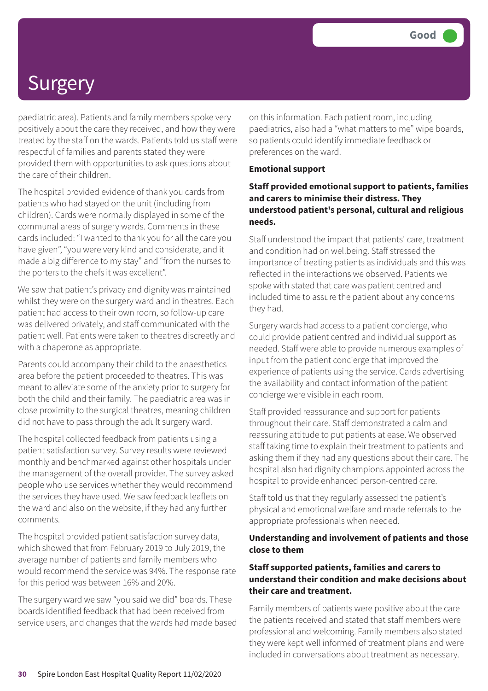paediatric area). Patients and family members spoke very positively about the care they received, and how they were treated by the staff on the wards. Patients told us staff were respectful of families and parents stated they were provided them with opportunities to ask questions about the care of their children.

The hospital provided evidence of thank you cards from patients who had stayed on the unit (including from children). Cards were normally displayed in some of the communal areas of surgery wards. Comments in these cards included: "I wanted to thank you for all the care you have given", "you were very kind and considerate, and it made a big difference to my stay" and "from the nurses to the porters to the chefs it was excellent".

We saw that patient's privacy and dignity was maintained whilst they were on the surgery ward and in theatres. Each patient had access to their own room, so follow-up care was delivered privately, and staff communicated with the patient well. Patients were taken to theatres discreetly and with a chaperone as appropriate.

Parents could accompany their child to the anaesthetics area before the patient proceeded to theatres. This was meant to alleviate some of the anxiety prior to surgery for both the child and their family. The paediatric area was in close proximity to the surgical theatres, meaning children did not have to pass through the adult surgery ward.

The hospital collected feedback from patients using a patient satisfaction survey. Survey results were reviewed monthly and benchmarked against other hospitals under the management of the overall provider. The survey asked people who use services whether they would recommend the services they have used. We saw feedback leaflets on the ward and also on the website, if they had any further comments.

The hospital provided patient satisfaction survey data, which showed that from February 2019 to July 2019, the average number of patients and family members who would recommend the service was 94%. The response rate for this period was between 16% and 20%.

The surgery ward we saw "you said we did" boards. These boards identified feedback that had been received from service users, and changes that the wards had made based on this information. Each patient room, including paediatrics, also had a "what matters to me" wipe boards, so patients could identify immediate feedback or preferences on the ward.

#### **Emotional support**

#### **Staff provided emotional support to patients, families and carers to minimise their distress. They understood patient's personal, cultural and religious needs.**

Staff understood the impact that patients' care, treatment and condition had on wellbeing. Staff stressed the importance of treating patients as individuals and this was reflected in the interactions we observed. Patients we spoke with stated that care was patient centred and included time to assure the patient about any concerns they had.

Surgery wards had access to a patient concierge, who could provide patient centred and individual support as needed. Staff were able to provide numerous examples of input from the patient concierge that improved the experience of patients using the service. Cards advertising the availability and contact information of the patient concierge were visible in each room.

Staff provided reassurance and support for patients throughout their care. Staff demonstrated a calm and reassuring attitude to put patients at ease. We observed staff taking time to explain their treatment to patients and asking them if they had any questions about their care. The hospital also had dignity champions appointed across the hospital to provide enhanced person-centred care.

Staff told us that they regularly assessed the patient's physical and emotional welfare and made referrals to the appropriate professionals when needed.

#### **Understanding and involvement of patients and those close to them**

#### **Staff supported patients, families and carers to understand their condition and make decisions about their care and treatment.**

Family members of patients were positive about the care the patients received and stated that staff members were professional and welcoming. Family members also stated they were kept well informed of treatment plans and were included in conversations about treatment as necessary.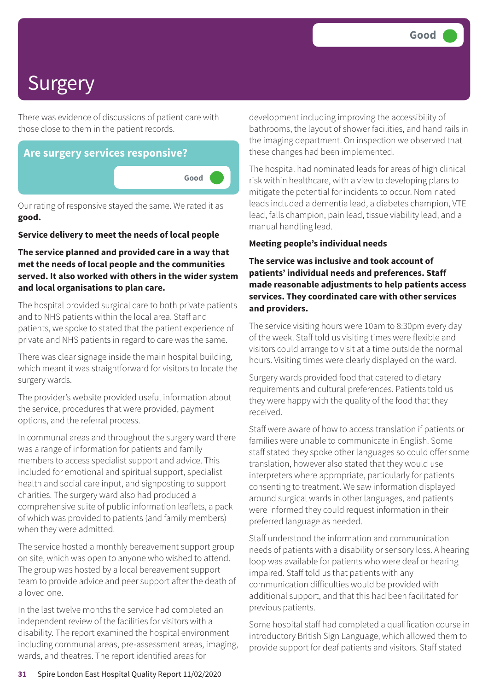There was evidence of discussions of patient care with those close to them in the patient records.



Our rating of responsive stayed the same. We rated it as **good.**

#### **Service delivery to meet the needs of local people**

#### **The service planned and provided care in a way that met the needs of local people and the communities served. It also worked with others in the wider system and local organisations to plan care.**

The hospital provided surgical care to both private patients and to NHS patients within the local area. Staff and patients, we spoke to stated that the patient experience of private and NHS patients in regard to care was the same.

There was clear signage inside the main hospital building, which meant it was straightforward for visitors to locate the surgery wards.

The provider's website provided useful information about the service, procedures that were provided, payment options, and the referral process.

In communal areas and throughout the surgery ward there was a range of information for patients and family members to access specialist support and advice. This included for emotional and spiritual support, specialist health and social care input, and signposting to support charities. The surgery ward also had produced a comprehensive suite of public information leaflets, a pack of which was provided to patients (and family members) when they were admitted.

The service hosted a monthly bereavement support group on site, which was open to anyone who wished to attend. The group was hosted by a local bereavement support team to provide advice and peer support after the death of a loved one.

In the last twelve months the service had completed an independent review of the facilities for visitors with a disability. The report examined the hospital environment including communal areas, pre-assessment areas, imaging, wards, and theatres. The report identified areas for

development including improving the accessibility of bathrooms, the layout of shower facilities, and hand rails in the imaging department. On inspection we observed that these changes had been implemented.

The hospital had nominated leads for areas of high clinical risk within healthcare, with a view to developing plans to mitigate the potential for incidents to occur. Nominated leads included a dementia lead, a diabetes champion, VTE lead, falls champion, pain lead, tissue viability lead, and a manual handling lead.

#### **Meeting people's individual needs**

#### **The service was inclusive and took account of patients' individual needs and preferences. Staff made reasonable adjustments to help patients access services. They coordinated care with other services and providers.**

The service visiting hours were 10am to 8:30pm every day of the week. Staff told us visiting times were flexible and visitors could arrange to visit at a time outside the normal hours. Visiting times were clearly displayed on the ward.

Surgery wards provided food that catered to dietary requirements and cultural preferences. Patients told us they were happy with the quality of the food that they received.

Staff were aware of how to access translation if patients or families were unable to communicate in English. Some staff stated they spoke other languages so could offer some translation, however also stated that they would use interpreters where appropriate, particularly for patients consenting to treatment. We saw information displayed around surgical wards in other languages, and patients were informed they could request information in their preferred language as needed.

Staff understood the information and communication needs of patients with a disability or sensory loss. A hearing loop was available for patients who were deaf or hearing impaired. Staff told us that patients with any communication difficulties would be provided with additional support, and that this had been facilitated for previous patients.

Some hospital staff had completed a qualification course in introductory British Sign Language, which allowed them to provide support for deaf patients and visitors. Staff stated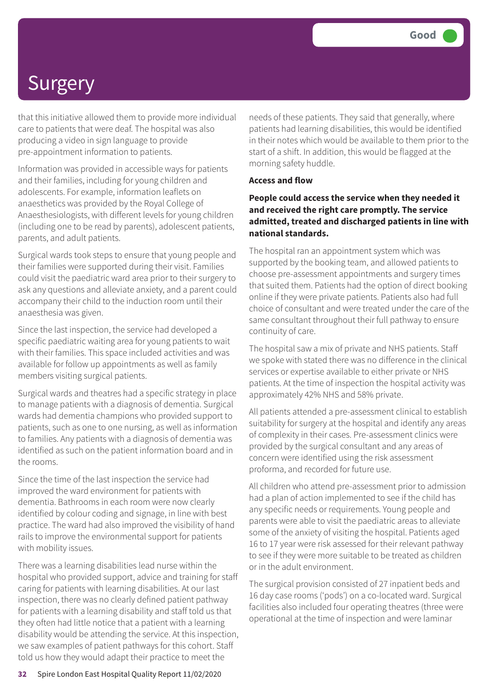that this initiative allowed them to provide more individual care to patients that were deaf. The hospital was also producing a video in sign language to provide pre-appointment information to patients.

Information was provided in accessible ways for patients and their families, including for young children and adolescents. For example, information leaflets on anaesthetics was provided by the Royal College of Anaesthesiologists, with different levels for young children (including one to be read by parents), adolescent patients, parents, and adult patients.

Surgical wards took steps to ensure that young people and their families were supported during their visit. Families could visit the paediatric ward area prior to their surgery to ask any questions and alleviate anxiety, and a parent could accompany their child to the induction room until their anaesthesia was given.

Since the last inspection, the service had developed a specific paediatric waiting area for young patients to wait with their families. This space included activities and was available for follow up appointments as well as family members visiting surgical patients.

Surgical wards and theatres had a specific strategy in place to manage patients with a diagnosis of dementia. Surgical wards had dementia champions who provided support to patients, such as one to one nursing, as well as information to families. Any patients with a diagnosis of dementia was identified as such on the patient information board and in the rooms.

Since the time of the last inspection the service had improved the ward environment for patients with dementia. Bathrooms in each room were now clearly identified by colour coding and signage, in line with best practice. The ward had also improved the visibility of hand rails to improve the environmental support for patients with mobility issues.

There was a learning disabilities lead nurse within the hospital who provided support, advice and training for staff caring for patients with learning disabilities. At our last inspection, there was no clearly defined patient pathway for patients with a learning disability and staff told us that they often had little notice that a patient with a learning disability would be attending the service. At this inspection, we saw examples of patient pathways for this cohort. Staff told us how they would adapt their practice to meet the

needs of these patients. They said that generally, where patients had learning disabilities, this would be identified in their notes which would be available to them prior to the start of a shift. In addition, this would be flagged at the morning safety huddle.

#### **Access and flow**

**People could access the service when they needed it and received the right care promptly. The service admitted, treated and discharged patients in line with national standards.**

The hospital ran an appointment system which was supported by the booking team, and allowed patients to choose pre-assessment appointments and surgery times that suited them. Patients had the option of direct booking online if they were private patients. Patients also had full choice of consultant and were treated under the care of the same consultant throughout their full pathway to ensure continuity of care.

The hospital saw a mix of private and NHS patients. Staff we spoke with stated there was no difference in the clinical services or expertise available to either private or NHS patients. At the time of inspection the hospital activity was approximately 42% NHS and 58% private.

All patients attended a pre-assessment clinical to establish suitability for surgery at the hospital and identify any areas of complexity in their cases. Pre-assessment clinics were provided by the surgical consultant and any areas of concern were identified using the risk assessment proforma, and recorded for future use.

All children who attend pre-assessment prior to admission had a plan of action implemented to see if the child has any specific needs or requirements. Young people and parents were able to visit the paediatric areas to alleviate some of the anxiety of visiting the hospital. Patients aged 16 to 17 year were risk assessed for their relevant pathway to see if they were more suitable to be treated as children or in the adult environment.

The surgical provision consisted of 27 inpatient beds and 16 day case rooms ('pods') on a co-located ward. Surgical facilities also included four operating theatres (three were operational at the time of inspection and were laminar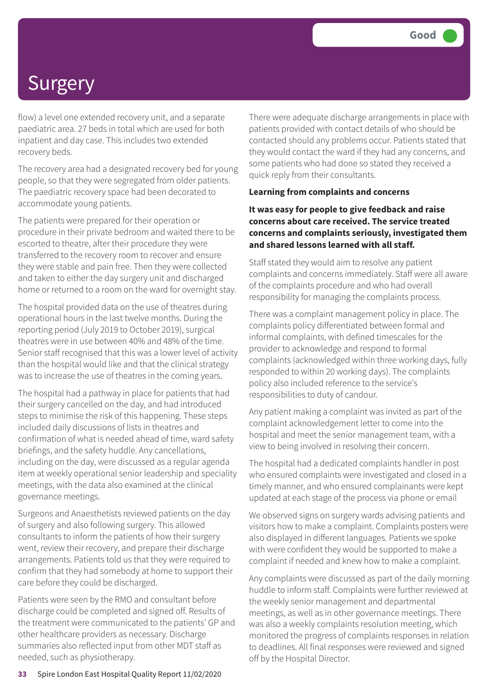flow) a level one extended recovery unit, and a separate paediatric area. 27 beds in total which are used for both inpatient and day case. This includes two extended recovery beds.

The recovery area had a designated recovery bed for young people, so that they were segregated from older patients. The paediatric recovery space had been decorated to accommodate young patients.

The patients were prepared for their operation or procedure in their private bedroom and waited there to be escorted to theatre, after their procedure they were transferred to the recovery room to recover and ensure they were stable and pain free. Then they were collected and taken to either the day surgery unit and discharged home or returned to a room on the ward for overnight stay.

The hospital provided data on the use of theatres during operational hours in the last twelve months. During the reporting period (July 2019 to October 2019), surgical theatres were in use between 40% and 48% of the time. Senior staff recognised that this was a lower level of activity than the hospital would like and that the clinical strategy was to increase the use of theatres in the coming years.

The hospital had a pathway in place for patients that had their surgery cancelled on the day, and had introduced steps to minimise the risk of this happening. These steps included daily discussions of lists in theatres and confirmation of what is needed ahead of time, ward safety briefings, and the safety huddle. Any cancellations, including on the day, were discussed as a regular agenda item at weekly operational senior leadership and speciality meetings, with the data also examined at the clinical governance meetings.

Surgeons and Anaesthetists reviewed patients on the day of surgery and also following surgery. This allowed consultants to inform the patients of how their surgery went, review their recovery, and prepare their discharge arrangements. Patients told us that they were required to confirm that they had somebody at home to support their care before they could be discharged.

Patients were seen by the RMO and consultant before discharge could be completed and signed off. Results of the treatment were communicated to the patients' GP and other healthcare providers as necessary. Discharge summaries also reflected input from other MDT staff as needed, such as physiotherapy.

There were adequate discharge arrangements in place with patients provided with contact details of who should be contacted should any problems occur. Patients stated that they would contact the ward if they had any concerns, and some patients who had done so stated they received a quick reply from their consultants.

#### **Learning from complaints and concerns**

#### **It was easy for people to give feedback and raise concerns about care received. The service treated concerns and complaints seriously, investigated them and shared lessons learned with all staff.**

Staff stated they would aim to resolve any patient complaints and concerns immediately. Staff were all aware of the complaints procedure and who had overall responsibility for managing the complaints process.

There was a complaint management policy in place. The complaints policy differentiated between formal and informal complaints, with defined timescales for the provider to acknowledge and respond to formal complaints (acknowledged within three working days, fully responded to within 20 working days). The complaints policy also included reference to the service's responsibilities to duty of candour.

Any patient making a complaint was invited as part of the complaint acknowledgement letter to come into the hospital and meet the senior management team, with a view to being involved in resolving their concern.

The hospital had a dedicated complaints handler in post who ensured complaints were investigated and closed in a timely manner, and who ensured complainants were kept updated at each stage of the process via phone or email

We observed signs on surgery wards advising patients and visitors how to make a complaint. Complaints posters were also displayed in different languages. Patients we spoke with were confident they would be supported to make a complaint if needed and knew how to make a complaint.

Any complaints were discussed as part of the daily morning huddle to inform staff. Complaints were further reviewed at the weekly senior management and departmental meetings, as well as in other governance meetings. There was also a weekly complaints resolution meeting, which monitored the progress of complaints responses in relation to deadlines. All final responses were reviewed and signed off by the Hospital Director.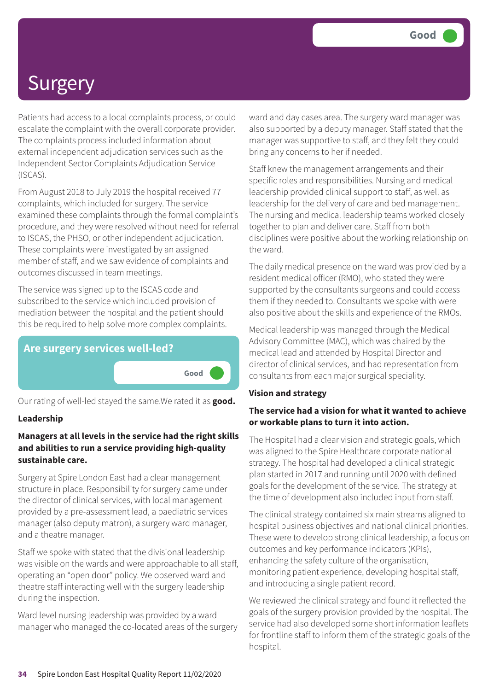Patients had access to a local complaints process, or could escalate the complaint with the overall corporate provider. The complaints process included information about external independent adjudication services such as the Independent Sector Complaints Adjudication Service (ISCAS).

From August 2018 to July 2019 the hospital received 77 complaints, which included for surgery. The service examined these complaints through the formal complaint's procedure, and they were resolved without need for referral to ISCAS, the PHSO, or other independent adjudication. These complaints were investigated by an assigned member of staff, and we saw evidence of complaints and outcomes discussed in team meetings.

The service was signed up to the ISCAS code and subscribed to the service which included provision of mediation between the hospital and the patient should this be required to help solve more complex complaints.



Our rating of well-led stayed the same.We rated it as **good.**

#### **Leadership**

#### **Managers at all levels in the service had the right skills and abilities to run a service providing high-quality sustainable care.**

Surgery at Spire London East had a clear management structure in place. Responsibility for surgery came under the director of clinical services, with local management provided by a pre-assessment lead, a paediatric services manager (also deputy matron), a surgery ward manager, and a theatre manager.

Staff we spoke with stated that the divisional leadership was visible on the wards and were approachable to all staff, operating an "open door" policy. We observed ward and theatre staff interacting well with the surgery leadership during the inspection.

Ward level nursing leadership was provided by a ward manager who managed the co-located areas of the surgery ward and day cases area. The surgery ward manager was also supported by a deputy manager. Staff stated that the manager was supportive to staff, and they felt they could bring any concerns to her if needed.

Staff knew the management arrangements and their specific roles and responsibilities. Nursing and medical leadership provided clinical support to staff, as well as leadership for the delivery of care and bed management. The nursing and medical leadership teams worked closely together to plan and deliver care. Staff from both disciplines were positive about the working relationship on the ward.

The daily medical presence on the ward was provided by a resident medical officer (RMO), who stated they were supported by the consultants surgeons and could access them if they needed to. Consultants we spoke with were also positive about the skills and experience of the RMOs.

Medical leadership was managed through the Medical Advisory Committee (MAC), which was chaired by the medical lead and attended by Hospital Director and director of clinical services, and had representation from consultants from each major surgical speciality.

#### **Vision and strategy**

#### **The service had a vision for what it wanted to achieve or workable plans to turn it into action.**

The Hospital had a clear vision and strategic goals, which was aligned to the Spire Healthcare corporate national strategy. The hospital had developed a clinical strategic plan started in 2017 and running until 2020 with defined goals for the development of the service. The strategy at the time of development also included input from staff.

The clinical strategy contained six main streams aligned to hospital business objectives and national clinical priorities. These were to develop strong clinical leadership, a focus on outcomes and key performance indicators (KPIs), enhancing the safety culture of the organisation, monitoring patient experience, developing hospital staff, and introducing a single patient record.

We reviewed the clinical strategy and found it reflected the goals of the surgery provision provided by the hospital. The service had also developed some short information leaflets for frontline staff to inform them of the strategic goals of the hospital.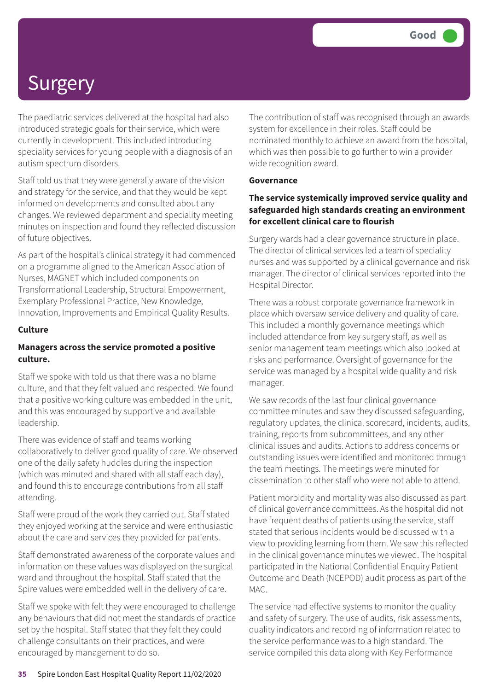The paediatric services delivered at the hospital had also introduced strategic goals for their service, which were currently in development. This included introducing speciality services for young people with a diagnosis of an autism spectrum disorders.

Staff told us that they were generally aware of the vision and strategy for the service, and that they would be kept informed on developments and consulted about any changes. We reviewed department and speciality meeting minutes on inspection and found they reflected discussion of future objectives.

As part of the hospital's clinical strategy it had commenced on a programme aligned to the American Association of Nurses, MAGNET which included components on Transformational Leadership, Structural Empowerment, Exemplary Professional Practice, New Knowledge, Innovation, Improvements and Empirical Quality Results.

#### **Culture**

#### **Managers across the service promoted a positive culture.**

Staff we spoke with told us that there was a no blame culture, and that they felt valued and respected. We found that a positive working culture was embedded in the unit, and this was encouraged by supportive and available leadership.

There was evidence of staff and teams working collaboratively to deliver good quality of care. We observed one of the daily safety huddles during the inspection (which was minuted and shared with all staff each day), and found this to encourage contributions from all staff attending.

Staff were proud of the work they carried out. Staff stated they enjoyed working at the service and were enthusiastic about the care and services they provided for patients.

Staff demonstrated awareness of the corporate values and information on these values was displayed on the surgical ward and throughout the hospital. Staff stated that the Spire values were embedded well in the delivery of care.

Staff we spoke with felt they were encouraged to challenge any behaviours that did not meet the standards of practice set by the hospital. Staff stated that they felt they could challenge consultants on their practices, and were encouraged by management to do so.

The contribution of staff was recognised through an awards system for excellence in their roles. Staff could be nominated monthly to achieve an award from the hospital, which was then possible to go further to win a provider wide recognition award.

#### **Governance**

#### **The service systemically improved service quality and safeguarded high standards creating an environment for excellent clinical care to flourish**

Surgery wards had a clear governance structure in place. The director of clinical services led a team of speciality nurses and was supported by a clinical governance and risk manager. The director of clinical services reported into the Hospital Director.

There was a robust corporate governance framework in place which oversaw service delivery and quality of care. This included a monthly governance meetings which included attendance from key surgery staff, as well as senior management team meetings which also looked at risks and performance. Oversight of governance for the service was managed by a hospital wide quality and risk manager.

We saw records of the last four clinical governance committee minutes and saw they discussed safeguarding, regulatory updates, the clinical scorecard, incidents, audits, training, reports from subcommittees, and any other clinical issues and audits. Actions to address concerns or outstanding issues were identified and monitored through the team meetings. The meetings were minuted for dissemination to other staff who were not able to attend.

Patient morbidity and mortality was also discussed as part of clinical governance committees. As the hospital did not have frequent deaths of patients using the service, staff stated that serious incidents would be discussed with a view to providing learning from them. We saw this reflected in the clinical governance minutes we viewed. The hospital participated in the National Confidential Enquiry Patient Outcome and Death (NCEPOD) audit process as part of the MAC.

The service had effective systems to monitor the quality and safety of surgery. The use of audits, risk assessments, quality indicators and recording of information related to the service performance was to a high standard. The service compiled this data along with Key Performance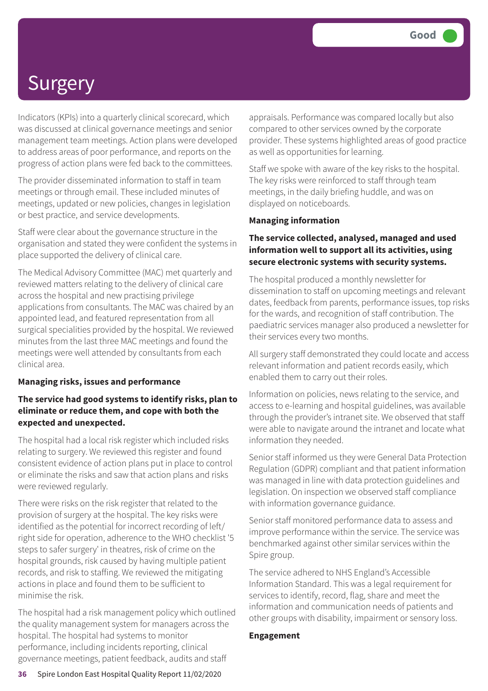Indicators (KPIs) into a quarterly clinical scorecard, which was discussed at clinical governance meetings and senior management team meetings. Action plans were developed to address areas of poor performance, and reports on the progress of action plans were fed back to the committees.

The provider disseminated information to staff in team meetings or through email. These included minutes of meetings, updated or new policies, changes in legislation or best practice, and service developments.

Staff were clear about the governance structure in the organisation and stated they were confident the systems in place supported the delivery of clinical care.

The Medical Advisory Committee (MAC) met quarterly and reviewed matters relating to the delivery of clinical care across the hospital and new practising privilege applications from consultants. The MAC was chaired by an appointed lead, and featured representation from all surgical specialities provided by the hospital. We reviewed minutes from the last three MAC meetings and found the meetings were well attended by consultants from each clinical area.

#### **Managing risks, issues and performance**

#### **The service had good systems to identify risks, plan to eliminate or reduce them, and cope with both the expected and unexpected.**

The hospital had a local risk register which included risks relating to surgery. We reviewed this register and found consistent evidence of action plans put in place to control or eliminate the risks and saw that action plans and risks were reviewed regularly.

There were risks on the risk register that related to the provision of surgery at the hospital. The key risks were identified as the potential for incorrect recording of left/ right side for operation, adherence to the WHO checklist '5 steps to safer surgery' in theatres, risk of crime on the hospital grounds, risk caused by having multiple patient records, and risk to staffing. We reviewed the mitigating actions in place and found them to be sufficient to minimise the risk.

The hospital had a risk management policy which outlined the quality management system for managers across the hospital. The hospital had systems to monitor performance, including incidents reporting, clinical governance meetings, patient feedback, audits and staff

appraisals. Performance was compared locally but also compared to other services owned by the corporate provider. These systems highlighted areas of good practice as well as opportunities for learning.

Staff we spoke with aware of the key risks to the hospital. The key risks were reinforced to staff through team meetings, in the daily briefing huddle, and was on displayed on noticeboards.

#### **Managing information**

#### **The service collected, analysed, managed and used information well to support all its activities, using secure electronic systems with security systems.**

The hospital produced a monthly newsletter for dissemination to staff on upcoming meetings and relevant dates, feedback from parents, performance issues, top risks for the wards, and recognition of staff contribution. The paediatric services manager also produced a newsletter for their services every two months.

All surgery staff demonstrated they could locate and access relevant information and patient records easily, which enabled them to carry out their roles.

Information on policies, news relating to the service, and access to e-learning and hospital guidelines, was available through the provider's intranet site. We observed that staff were able to navigate around the intranet and locate what information they needed.

Senior staff informed us they were General Data Protection Regulation (GDPR) compliant and that patient information was managed in line with data protection guidelines and legislation. On inspection we observed staff compliance with information governance guidance.

Senior staff monitored performance data to assess and improve performance within the service. The service was benchmarked against other similar services within the Spire group.

The service adhered to NHS England's Accessible Information Standard. This was a legal requirement for services to identify, record, flag, share and meet the information and communication needs of patients and other groups with disability, impairment or sensory loss.

#### **Engagement**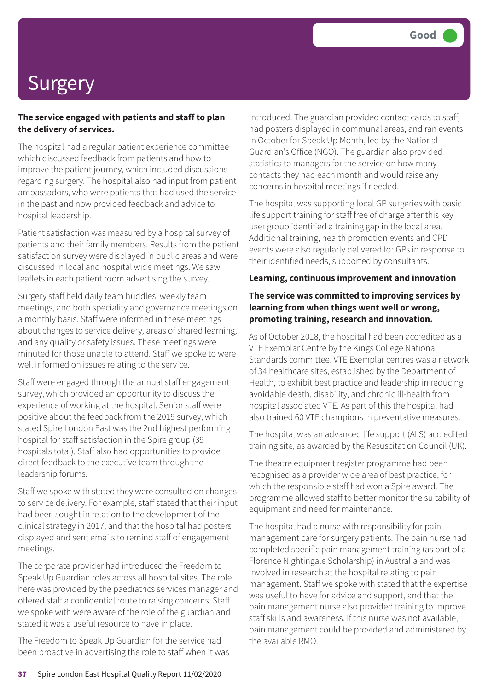#### **The service engaged with patients and staff to plan the delivery of services.**

The hospital had a regular patient experience committee which discussed feedback from patients and how to improve the patient journey, which included discussions regarding surgery. The hospital also had input from patient ambassadors, who were patients that had used the service in the past and now provided feedback and advice to hospital leadership.

Patient satisfaction was measured by a hospital survey of patients and their family members. Results from the patient satisfaction survey were displayed in public areas and were discussed in local and hospital wide meetings. We saw leaflets in each patient room advertising the survey.

Surgery staff held daily team huddles, weekly team meetings, and both speciality and governance meetings on a monthly basis. Staff were informed in these meetings about changes to service delivery, areas of shared learning, and any quality or safety issues. These meetings were minuted for those unable to attend. Staff we spoke to were well informed on issues relating to the service.

Staff were engaged through the annual staff engagement survey, which provided an opportunity to discuss the experience of working at the hospital. Senior staff were positive about the feedback from the 2019 survey, which stated Spire London East was the 2nd highest performing hospital for staff satisfaction in the Spire group (39 hospitals total). Staff also had opportunities to provide direct feedback to the executive team through the leadership forums.

Staff we spoke with stated they were consulted on changes to service delivery. For example, staff stated that their input had been sought in relation to the development of the clinical strategy in 2017, and that the hospital had posters displayed and sent emails to remind staff of engagement meetings.

The corporate provider had introduced the Freedom to Speak Up Guardian roles across all hospital sites. The role here was provided by the paediatrics services manager and offered staff a confidential route to raising concerns. Staff we spoke with were aware of the role of the guardian and stated it was a useful resource to have in place.

The Freedom to Speak Up Guardian for the service had been proactive in advertising the role to staff when it was introduced. The guardian provided contact cards to staff, had posters displayed in communal areas, and ran events in October for Speak Up Month, led by the National Guardian's Office (NGO). The guardian also provided statistics to managers for the service on how many contacts they had each month and would raise any concerns in hospital meetings if needed.

The hospital was supporting local GP surgeries with basic life support training for staff free of charge after this key user group identified a training gap in the local area. Additional training, health promotion events and CPD events were also regularly delivered for GPs in response to their identified needs, supported by consultants.

#### **Learning, continuous improvement and innovation**

#### **The service was committed to improving services by learning from when things went well or wrong, promoting training, research and innovation.**

As of October 2018, the hospital had been accredited as a VTE Exemplar Centre by the Kings College National Standards committee. VTE Exemplar centres was a network of 34 healthcare sites, established by the Department of Health, to exhibit best practice and leadership in reducing avoidable death, disability, and chronic ill-health from hospital associated VTE. As part of this the hospital had also trained 60 VTE champions in preventative measures.

The hospital was an advanced life support (ALS) accredited training site, as awarded by the Resuscitation Council (UK).

The theatre equipment register programme had been recognised as a provider wide area of best practice, for which the responsible staff had won a Spire award. The programme allowed staff to better monitor the suitability of equipment and need for maintenance.

The hospital had a nurse with responsibility for pain management care for surgery patients. The pain nurse had completed specific pain management training (as part of a Florence Nightingale Scholarship) in Australia and was involved in research at the hospital relating to pain management. Staff we spoke with stated that the expertise was useful to have for advice and support, and that the pain management nurse also provided training to improve staff skills and awareness. If this nurse was not available, pain management could be provided and administered by the available RMO.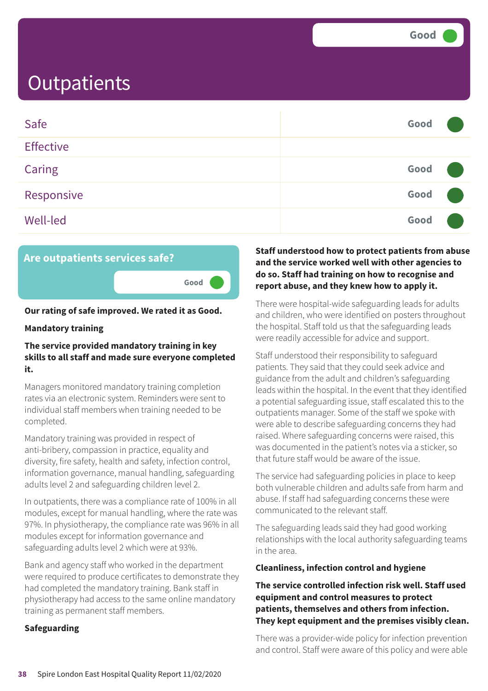| Safe             | Good |  |
|------------------|------|--|
| <b>Effective</b> |      |  |
| Caring           | Good |  |
| Responsive       | Good |  |
| <b>Well-led</b>  | Good |  |



### **Our rating of safe improved. We rated it as Good.**

#### **Mandatory training**

#### **The service provided mandatory training in key skills to all staff and made sure everyone completed it.**

Managers monitored mandatory training completion rates via an electronic system. Reminders were sent to individual staff members when training needed to be completed.

Mandatory training was provided in respect of anti-bribery, compassion in practice, equality and diversity, fire safety, health and safety, infection control, information governance, manual handling, safeguarding adults level 2 and safeguarding children level 2.

In outpatients, there was a compliance rate of 100% in all modules, except for manual handling, where the rate was 97%. In physiotherapy, the compliance rate was 96% in all modules except for information governance and safeguarding adults level 2 which were at 93%.

Bank and agency staff who worked in the department were required to produce certificates to demonstrate they had completed the mandatory training. Bank staff in physiotherapy had access to the same online mandatory training as permanent staff members.

#### **Safeguarding**

#### **Staff understood how to protect patients from abuse and the service worked well with other agencies to do so. Staff had training on how to recognise and report abuse, and they knew how to apply it.**

There were hospital-wide safeguarding leads for adults and children, who were identified on posters throughout the hospital. Staff told us that the safeguarding leads were readily accessible for advice and support.

Staff understood their responsibility to safeguard patients. They said that they could seek advice and guidance from the adult and children's safeguarding leads within the hospital. In the event that they identified a potential safeguarding issue, staff escalated this to the outpatients manager. Some of the staff we spoke with were able to describe safeguarding concerns they had raised. Where safeguarding concerns were raised, this was documented in the patient's notes via a sticker, so that future staff would be aware of the issue.

The service had safeguarding policies in place to keep both vulnerable children and adults safe from harm and abuse. If staff had safeguarding concerns these were communicated to the relevant staff.

The safeguarding leads said they had good working relationships with the local authority safeguarding teams in the area.

#### **Cleanliness, infection control and hygiene**

#### **The service controlled infection risk well. Staff used equipment and control measures to protect patients, themselves and others from infection. They kept equipment and the premises visibly clean.**

There was a provider-wide policy for infection prevention and control. Staff were aware of this policy and were able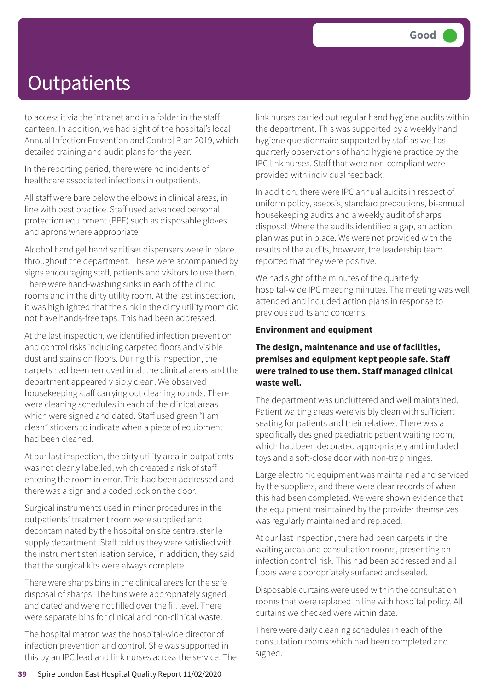to access it via the intranet and in a folder in the staff canteen. In addition, we had sight of the hospital's local Annual Infection Prevention and Control Plan 2019, which detailed training and audit plans for the year.

In the reporting period, there were no incidents of healthcare associated infections in outpatients.

All staff were bare below the elbows in clinical areas, in line with best practice. Staff used advanced personal protection equipment (PPE) such as disposable gloves and aprons where appropriate.

Alcohol hand gel hand sanitiser dispensers were in place throughout the department. These were accompanied by signs encouraging staff, patients and visitors to use them. There were hand-washing sinks in each of the clinic rooms and in the dirty utility room. At the last inspection, it was highlighted that the sink in the dirty utility room did not have hands-free taps. This had been addressed.

At the last inspection, we identified infection prevention and control risks including carpeted floors and visible dust and stains on floors. During this inspection, the carpets had been removed in all the clinical areas and the department appeared visibly clean. We observed housekeeping staff carrying out cleaning rounds. There were cleaning schedules in each of the clinical areas which were signed and dated. Staff used green "I am clean" stickers to indicate when a piece of equipment had been cleaned.

At our last inspection, the dirty utility area in outpatients was not clearly labelled, which created a risk of staff entering the room in error. This had been addressed and there was a sign and a coded lock on the door.

Surgical instruments used in minor procedures in the outpatients' treatment room were supplied and decontaminated by the hospital on site central sterile supply department. Staff told us they were satisfied with the instrument sterilisation service, in addition, they said that the surgical kits were always complete.

There were sharps bins in the clinical areas for the safe disposal of sharps. The bins were appropriately signed and dated and were not filled over the fill level. There were separate bins for clinical and non-clinical waste.

The hospital matron was the hospital-wide director of infection prevention and control. She was supported in this by an IPC lead and link nurses across the service. The link nurses carried out regular hand hygiene audits within the department. This was supported by a weekly hand hygiene questionnaire supported by staff as well as quarterly observations of hand hygiene practice by the IPC link nurses. Staff that were non-compliant were provided with individual feedback.

In addition, there were IPC annual audits in respect of uniform policy, asepsis, standard precautions, bi-annual housekeeping audits and a weekly audit of sharps disposal. Where the audits identified a gap, an action plan was put in place. We were not provided with the results of the audits, however, the leadership team reported that they were positive.

We had sight of the minutes of the quarterly hospital-wide IPC meeting minutes. The meeting was well attended and included action plans in response to previous audits and concerns.

#### **Environment and equipment**

#### **The design, maintenance and use of facilities, premises and equipment kept people safe. Staff were trained to use them. Staff managed clinical waste well.**

The department was uncluttered and well maintained. Patient waiting areas were visibly clean with sufficient seating for patients and their relatives. There was a specifically designed paediatric patient waiting room, which had been decorated appropriately and included toys and a soft-close door with non-trap hinges.

Large electronic equipment was maintained and serviced by the suppliers, and there were clear records of when this had been completed. We were shown evidence that the equipment maintained by the provider themselves was regularly maintained and replaced.

At our last inspection, there had been carpets in the waiting areas and consultation rooms, presenting an infection control risk. This had been addressed and all floors were appropriately surfaced and sealed.

Disposable curtains were used within the consultation rooms that were replaced in line with hospital policy. All curtains we checked were within date.

There were daily cleaning schedules in each of the consultation rooms which had been completed and signed.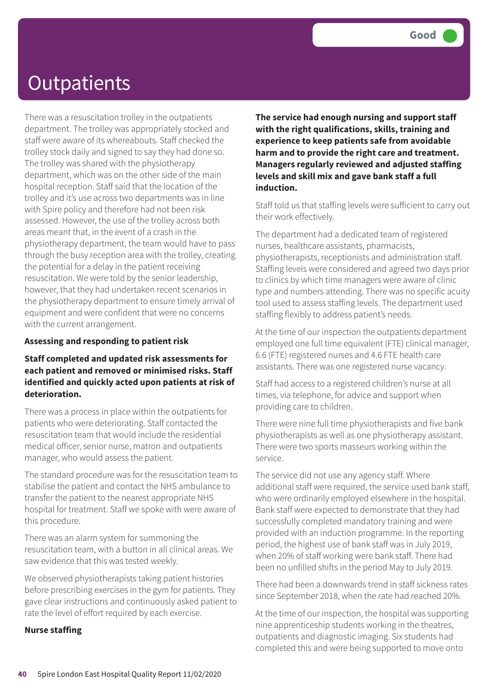There was a resuscitation trolley in the outpatients department. The trolley was appropriately stocked and staff were aware of its whereabouts. Staff checked the trolley stock daily and signed to say they had done so. The trolley was shared with the physiotherapy department, which was on the other side of the main hospital reception. Staff said that the location of the trolley and it's use across two departments was in line with Spire policy and therefore had not been risk assessed. However, the use of the trolley across both areas meant that, in the event of a crash in the physiotherapy department, the team would have to pass through the busy reception area with the trolley, creating the potential for a delay in the patient receiving resuscitation. We were told by the senior leadership, however, that they had undertaken recent scenarios in the physiotherapy department to ensure timely arrival of equipment and were confident that were no concerns with the current arrangement.

#### **Assessing and responding to patient risk**

#### **Staff completed and updated risk assessments for each patient and removed or minimised risks. Staff identified and quickly acted upon patients at risk of deterioration.**

There was a process in place within the outpatients for patients who were deteriorating. Staff contacted the resuscitation team that would include the residential medical officer, senior nurse, matron and outpatients manager, who would assess the patient.

The standard procedure was for the resuscitation team to stabilise the patient and contact the NHS ambulance to transfer the patient to the nearest appropriate NHS hospital for treatment. Staff we spoke with were aware of this procedure.

There was an alarm system for summoning the resuscitation team, with a button in all clinical areas. We saw evidence that this was tested weekly.

We observed physiotherapists taking patient histories before prescribing exercises in the gym for patients. They gave clear instructions and continuously asked patient to rate the level of effort required by each exercise.

#### **Nurse staffing**

**The service had enough nursing and support staff with the right qualifications, skills, training and experience to keep patients safe from avoidable harm and to provide the right care and treatment. Managers regularly reviewed and adjusted staffing levels and skill mix and gave bank staff a full induction.**

Staff told us that staffing levels were sufficient to carry out their work effectively.

The department had a dedicated team of registered nurses, healthcare assistants, pharmacists, physiotherapists, receptionists and administration staff. Staffing levels were considered and agreed two days prior to clinics by which time managers were aware of clinic type and numbers attending. There was no specific acuity tool used to assess staffing levels. The department used staffing flexibly to address patient's needs.

At the time of our inspection the outpatients department employed one full time equivalent (FTE) clinical manager, 6.6 (FTE) registered nurses and 4.6 FTE health care assistants. There was one registered nurse vacancy.

Staff had access to a registered children's nurse at all times, via telephone, for advice and support when providing care to children.

There were nine full time physiotherapists and five bank physiotherapists as well as one physiotherapy assistant. There were two sports masseurs working within the service.

The service did not use any agency staff. Where additional staff were required, the service used bank staff, who were ordinarily employed elsewhere in the hospital. Bank staff were expected to demonstrate that they had successfully completed mandatory training and were provided with an induction programme. In the reporting period, the highest use of bank staff was in July 2019, when 20% of staff working were bank staff. There had been no unfilled shifts in the period May to July 2019.

There had been a downwards trend in staff sickness rates since September 2018, when the rate had reached 20%.

At the time of our inspection, the hospital was supporting nine apprenticeship students working in the theatres, outpatients and diagnostic imaging. Six students had completed this and were being supported to move onto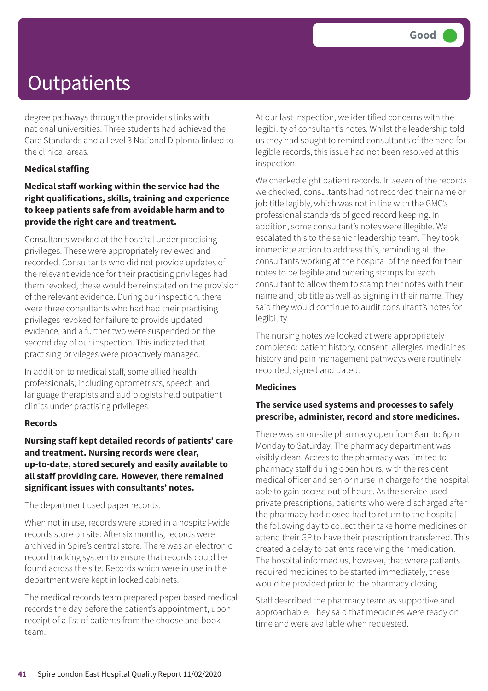degree pathways through the provider's links with national universities. Three students had achieved the Care Standards and a Level 3 National Diploma linked to the clinical areas.

#### **Medical staffing**

#### **Medical staff working within the service had the right qualifications, skills, training and experience to keep patients safe from avoidable harm and to provide the right care and treatment.**

Consultants worked at the hospital under practising privileges. These were appropriately reviewed and recorded. Consultants who did not provide updates of the relevant evidence for their practising privileges had them revoked, these would be reinstated on the provision of the relevant evidence. During our inspection, there were three consultants who had had their practising privileges revoked for failure to provide updated evidence, and a further two were suspended on the second day of our inspection. This indicated that practising privileges were proactively managed.

In addition to medical staff, some allied health professionals, including optometrists, speech and language therapists and audiologists held outpatient clinics under practising privileges.

#### **Records**

**Nursing staff kept detailed records of patients' care and treatment. Nursing records were clear, up-to-date, stored securely and easily available to all staff providing care. However, there remained significant issues with consultants' notes.**

The department used paper records.

When not in use, records were stored in a hospital-wide records store on site. After six months, records were archived in Spire's central store. There was an electronic record tracking system to ensure that records could be found across the site. Records which were in use in the department were kept in locked cabinets.

The medical records team prepared paper based medical records the day before the patient's appointment, upon receipt of a list of patients from the choose and book team.

At our last inspection, we identified concerns with the legibility of consultant's notes. Whilst the leadership told us they had sought to remind consultants of the need for legible records, this issue had not been resolved at this inspection.

We checked eight patient records. In seven of the records we checked, consultants had not recorded their name or job title legibly, which was not in line with the GMC's professional standards of good record keeping. In addition, some consultant's notes were illegible. We escalated this to the senior leadership team. They took immediate action to address this, reminding all the consultants working at the hospital of the need for their notes to be legible and ordering stamps for each consultant to allow them to stamp their notes with their name and job title as well as signing in their name. They said they would continue to audit consultant's notes for legibility.

The nursing notes we looked at were appropriately completed; patient history, consent, allergies, medicines history and pain management pathways were routinely recorded, signed and dated.

#### **Medicines**

#### **The service used systems and processes to safely prescribe, administer, record and store medicines.**

There was an on-site pharmacy open from 8am to 6pm Monday to Saturday. The pharmacy department was visibly clean. Access to the pharmacy was limited to pharmacy staff during open hours, with the resident medical officer and senior nurse in charge for the hospital able to gain access out of hours. As the service used private prescriptions, patients who were discharged after the pharmacy had closed had to return to the hospital the following day to collect their take home medicines or attend their GP to have their prescription transferred. This created a delay to patients receiving their medication. The hospital informed us, however, that where patients required medicines to be started immediately, these would be provided prior to the pharmacy closing.

Staff described the pharmacy team as supportive and approachable. They said that medicines were ready on time and were available when requested.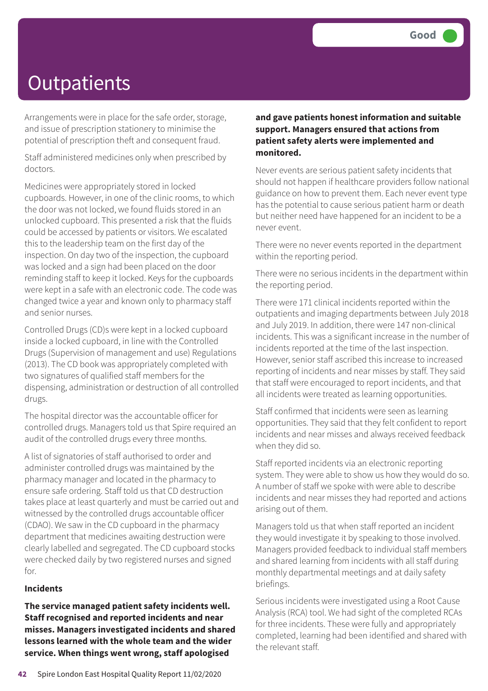Arrangements were in place for the safe order, storage, and issue of prescription stationery to minimise the potential of prescription theft and consequent fraud.

Staff administered medicines only when prescribed by doctors.

Medicines were appropriately stored in locked cupboards. However, in one of the clinic rooms, to which the door was not locked, we found fluids stored in an unlocked cupboard. This presented a risk that the fluids could be accessed by patients or visitors. We escalated this to the leadership team on the first day of the inspection. On day two of the inspection, the cupboard was locked and a sign had been placed on the door reminding staff to keep it locked. Keys for the cupboards were kept in a safe with an electronic code. The code was changed twice a year and known only to pharmacy staff and senior nurses.

Controlled Drugs (CD)s were kept in a locked cupboard inside a locked cupboard, in line with the Controlled Drugs (Supervision of management and use) Regulations (2013). The CD book was appropriately completed with two signatures of qualified staff members for the dispensing, administration or destruction of all controlled drugs.

The hospital director was the accountable officer for controlled drugs. Managers told us that Spire required an audit of the controlled drugs every three months.

A list of signatories of staff authorised to order and administer controlled drugs was maintained by the pharmacy manager and located in the pharmacy to ensure safe ordering. Staff told us that CD destruction takes place at least quarterly and must be carried out and witnessed by the controlled drugs accountable officer (CDAO). We saw in the CD cupboard in the pharmacy department that medicines awaiting destruction were clearly labelled and segregated. The CD cupboard stocks were checked daily by two registered nurses and signed for.

#### **Incidents**

**The service managed patient safety incidents well. Staff recognised and reported incidents and near misses. Managers investigated incidents and shared lessons learned with the whole team and the wider service. When things went wrong, staff apologised**

#### **and gave patients honest information and suitable support. Managers ensured that actions from patient safety alerts were implemented and monitored.**

Never events are serious patient safety incidents that should not happen if healthcare providers follow national guidance on how to prevent them. Each never event type has the potential to cause serious patient harm or death but neither need have happened for an incident to be a never event.

There were no never events reported in the department within the reporting period.

There were no serious incidents in the department within the reporting period.

There were 171 clinical incidents reported within the outpatients and imaging departments between July 2018 and July 2019. In addition, there were 147 non-clinical incidents. This was a significant increase in the number of incidents reported at the time of the last inspection. However, senior staff ascribed this increase to increased reporting of incidents and near misses by staff. They said that staff were encouraged to report incidents, and that all incidents were treated as learning opportunities.

Staff confirmed that incidents were seen as learning opportunities. They said that they felt confident to report incidents and near misses and always received feedback when they did so.

Staff reported incidents via an electronic reporting system. They were able to show us how they would do so. A number of staff we spoke with were able to describe incidents and near misses they had reported and actions arising out of them.

Managers told us that when staff reported an incident they would investigate it by speaking to those involved. Managers provided feedback to individual staff members and shared learning from incidents with all staff during monthly departmental meetings and at daily safety briefings.

Serious incidents were investigated using a Root Cause Analysis (RCA) tool. We had sight of the completed RCAs for three incidents. These were fully and appropriately completed, learning had been identified and shared with the relevant staff.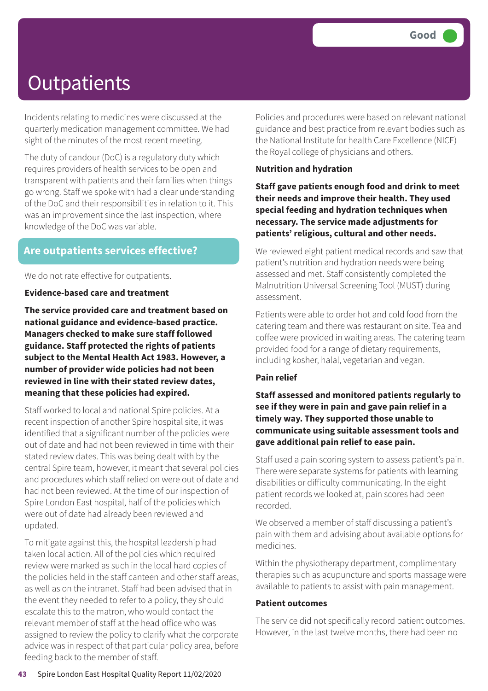Incidents relating to medicines were discussed at the quarterly medication management committee. We had sight of the minutes of the most recent meeting.

The duty of candour (DoC) is a regulatory duty which requires providers of health services to be open and transparent with patients and their families when things go wrong. Staff we spoke with had a clear understanding of the DoC and their responsibilities in relation to it. This was an improvement since the last inspection, where knowledge of the DoC was variable.

### **Are outpatients services effective?**

We do not rate effective for outpatients.

**Evidence-based care and treatment**

**The service provided care and treatment based on national guidance and evidence-based practice. Managers checked to make sure staff followed guidance. Staff protected the rights of patients subject to the Mental Health Act 1983. However, a number of provider wide policies had not been reviewed in line with their stated review dates, meaning that these policies had expired.**

Staff worked to local and national Spire policies. At a recent inspection of another Spire hospital site, it was identified that a significant number of the policies were out of date and had not been reviewed in time with their stated review dates. This was being dealt with by the central Spire team, however, it meant that several policies and procedures which staff relied on were out of date and had not been reviewed. At the time of our inspection of Spire London East hospital, half of the policies which were out of date had already been reviewed and updated.

To mitigate against this, the hospital leadership had taken local action. All of the policies which required review were marked as such in the local hard copies of the policies held in the staff canteen and other staff areas, as well as on the intranet. Staff had been advised that in the event they needed to refer to a policy, they should escalate this to the matron, who would contact the relevant member of staff at the head office who was assigned to review the policy to clarify what the corporate advice was in respect of that particular policy area, before feeding back to the member of staff.

Policies and procedures were based on relevant national guidance and best practice from relevant bodies such as the National Institute for health Care Excellence (NICE) the Royal college of physicians and others.

#### **Nutrition and hydration**

**Staff gave patients enough food and drink to meet their needs and improve their health. They used special feeding and hydration techniques when necessary. The service made adjustments for patients' religious, cultural and other needs.**

We reviewed eight patient medical records and saw that patient's nutrition and hydration needs were being assessed and met. Staff consistently completed the Malnutrition Universal Screening Tool (MUST) during assessment.

Patients were able to order hot and cold food from the catering team and there was restaurant on site. Tea and coffee were provided in waiting areas. The catering team provided food for a range of dietary requirements, including kosher, halal, vegetarian and vegan.

#### **Pain relief**

**Staff assessed and monitored patients regularly to see if they were in pain and gave pain relief in a timely way. They supported those unable to communicate using suitable assessment tools and gave additional pain relief to ease pain.**

Staff used a pain scoring system to assess patient's pain. There were separate systems for patients with learning disabilities or difficulty communicating. In the eight patient records we looked at, pain scores had been recorded.

We observed a member of staff discussing a patient's pain with them and advising about available options for medicines.

Within the physiotherapy department, complimentary therapies such as acupuncture and sports massage were available to patients to assist with pain management.

#### **Patient outcomes**

The service did not specifically record patient outcomes. However, in the last twelve months, there had been no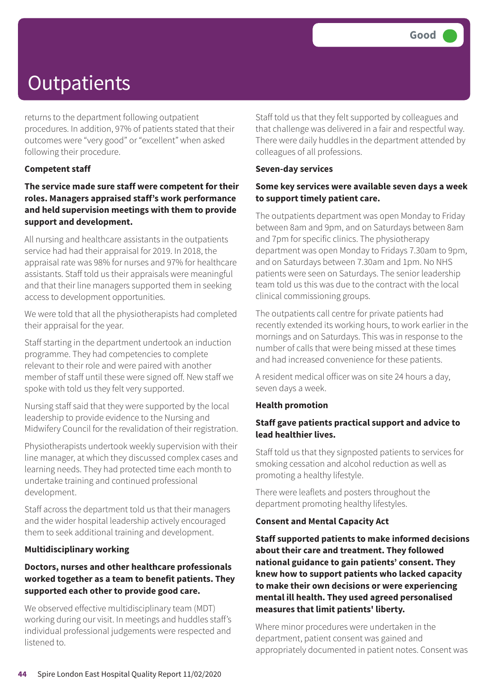returns to the department following outpatient procedures. In addition, 97% of patients stated that their outcomes were "very good" or "excellent" when asked following their procedure.

#### **Competent staff**

**The service made sure staff were competent for their roles. Managers appraised staff's work performance and held supervision meetings with them to provide support and development.**

All nursing and healthcare assistants in the outpatients service had had their appraisal for 2019. In 2018, the appraisal rate was 98% for nurses and 97% for healthcare assistants. Staff told us their appraisals were meaningful and that their line managers supported them in seeking access to development opportunities.

We were told that all the physiotherapists had completed their appraisal for the year.

Staff starting in the department undertook an induction programme. They had competencies to complete relevant to their role and were paired with another member of staff until these were signed off. New staff we spoke with told us they felt very supported.

Nursing staff said that they were supported by the local leadership to provide evidence to the Nursing and Midwifery Council for the revalidation of their registration.

Physiotherapists undertook weekly supervision with their line manager, at which they discussed complex cases and learning needs. They had protected time each month to undertake training and continued professional development.

Staff across the department told us that their managers and the wider hospital leadership actively encouraged them to seek additional training and development.

#### **Multidisciplinary working**

#### **Doctors, nurses and other healthcare professionals worked together as a team to benefit patients. They supported each other to provide good care.**

We observed effective multidisciplinary team (MDT) working during our visit. In meetings and huddles staff's individual professional judgements were respected and listened to.

Staff told us that they felt supported by colleagues and that challenge was delivered in a fair and respectful way. There were daily huddles in the department attended by colleagues of all professions.

#### **Seven-day services**

#### **Some key services were available seven days a week to support timely patient care.**

The outpatients department was open Monday to Friday between 8am and 9pm, and on Saturdays between 8am and 7pm for specific clinics. The physiotherapy department was open Monday to Fridays 7.30am to 9pm, and on Saturdays between 7.30am and 1pm. No NHS patients were seen on Saturdays. The senior leadership team told us this was due to the contract with the local clinical commissioning groups.

The outpatients call centre for private patients had recently extended its working hours, to work earlier in the mornings and on Saturdays. This was in response to the number of calls that were being missed at these times and had increased convenience for these patients.

A resident medical officer was on site 24 hours a day, seven days a week.

#### **Health promotion**

#### **Staff gave patients practical support and advice to lead healthier lives.**

Staff told us that they signposted patients to services for smoking cessation and alcohol reduction as well as promoting a healthy lifestyle.

There were leaflets and posters throughout the department promoting healthy lifestyles.

#### **Consent and Mental Capacity Act**

**Staff supported patients to make informed decisions about their care and treatment. They followed national guidance to gain patients' consent. They knew how to support patients who lacked capacity to make their own decisions or were experiencing mental ill health. They used agreed personalised measures that limit patients' liberty.**

Where minor procedures were undertaken in the department, patient consent was gained and appropriately documented in patient notes. Consent was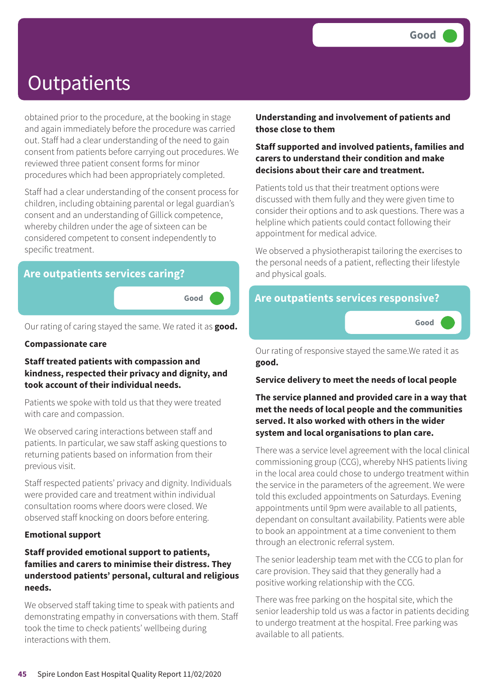obtained prior to the procedure, at the booking in stage and again immediately before the procedure was carried out. Staff had a clear understanding of the need to gain consent from patients before carrying out procedures. We reviewed three patient consent forms for minor procedures which had been appropriately completed.

Staff had a clear understanding of the consent process for children, including obtaining parental or legal guardian's consent and an understanding of Gillick competence, whereby children under the age of sixteen can be considered competent to consent independently to specific treatment.

### **Are outpatients services caring?**

**Good –––**

Our rating of caring stayed the same. We rated it as **good.**

#### **Compassionate care**

#### **Staff treated patients with compassion and kindness, respected their privacy and dignity, and took account of their individual needs.**

Patients we spoke with told us that they were treated with care and compassion.

We observed caring interactions between staff and patients. In particular, we saw staff asking questions to returning patients based on information from their previous visit.

Staff respected patients' privacy and dignity. Individuals were provided care and treatment within individual consultation rooms where doors were closed. We observed staff knocking on doors before entering.

#### **Emotional support**

#### **Staff provided emotional support to patients, families and carers to minimise their distress. They understood patients' personal, cultural and religious needs.**

We observed staff taking time to speak with patients and demonstrating empathy in conversations with them. Staff took the time to check patients' wellbeing during interactions with them.

#### **Understanding and involvement of patients and those close to them**

#### **Staff supported and involved patients, families and carers to understand their condition and make decisions about their care and treatment.**

Patients told us that their treatment options were discussed with them fully and they were given time to consider their options and to ask questions. There was a helpline which patients could contact following their appointment for medical advice.

We observed a physiotherapist tailoring the exercises to the personal needs of a patient, reflecting their lifestyle and physical goals.

### **Are outpatients services responsive?**



Our rating of responsive stayed the same.We rated it as **good.**

#### **Service delivery to meet the needs of local people**

#### **The service planned and provided care in a way that met the needs of local people and the communities served. It also worked with others in the wider system and local organisations to plan care.**

There was a service level agreement with the local clinical commissioning group (CCG), whereby NHS patients living in the local area could chose to undergo treatment within the service in the parameters of the agreement. We were told this excluded appointments on Saturdays. Evening appointments until 9pm were available to all patients, dependant on consultant availability. Patients were able to book an appointment at a time convenient to them through an electronic referral system.

The senior leadership team met with the CCG to plan for care provision. They said that they generally had a positive working relationship with the CCG.

There was free parking on the hospital site, which the senior leadership told us was a factor in patients deciding to undergo treatment at the hospital. Free parking was available to all patients.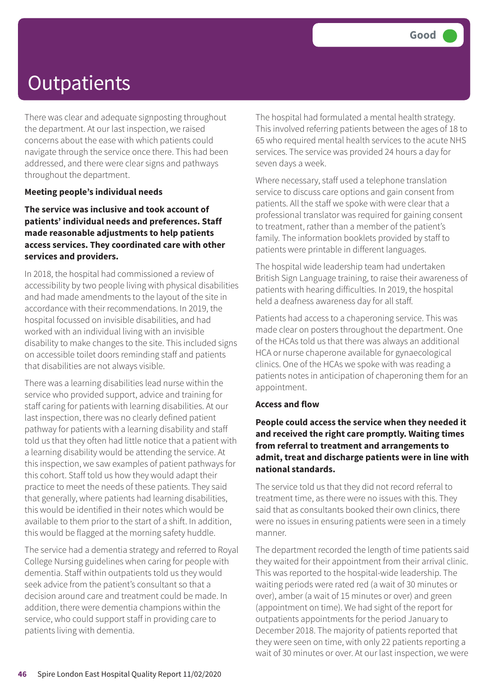There was clear and adequate signposting throughout the department. At our last inspection, we raised concerns about the ease with which patients could navigate through the service once there. This had been addressed, and there were clear signs and pathways throughout the department.

#### **Meeting people's individual needs**

#### **The service was inclusive and took account of patients' individual needs and preferences. Staff made reasonable adjustments to help patients access services. They coordinated care with other services and providers.**

In 2018, the hospital had commissioned a review of accessibility by two people living with physical disabilities and had made amendments to the layout of the site in accordance with their recommendations. In 2019, the hospital focussed on invisible disabilities, and had worked with an individual living with an invisible disability to make changes to the site. This included signs on accessible toilet doors reminding staff and patients that disabilities are not always visible.

There was a learning disabilities lead nurse within the service who provided support, advice and training for staff caring for patients with learning disabilities. At our last inspection, there was no clearly defined patient pathway for patients with a learning disability and staff told us that they often had little notice that a patient with a learning disability would be attending the service. At this inspection, we saw examples of patient pathways for this cohort. Staff told us how they would adapt their practice to meet the needs of these patients. They said that generally, where patients had learning disabilities, this would be identified in their notes which would be available to them prior to the start of a shift. In addition, this would be flagged at the morning safety huddle.

The service had a dementia strategy and referred to Royal College Nursing guidelines when caring for people with dementia. Staff within outpatients told us they would seek advice from the patient's consultant so that a decision around care and treatment could be made. In addition, there were dementia champions within the service, who could support staff in providing care to patients living with dementia.

The hospital had formulated a mental health strategy. This involved referring patients between the ages of 18 to 65 who required mental health services to the acute NHS services. The service was provided 24 hours a day for seven days a week.

Where necessary, staff used a telephone translation service to discuss care options and gain consent from patients. All the staff we spoke with were clear that a professional translator was required for gaining consent to treatment, rather than a member of the patient's family. The information booklets provided by staff to patients were printable in different languages.

The hospital wide leadership team had undertaken British Sign Language training, to raise their awareness of patients with hearing difficulties. In 2019, the hospital held a deafness awareness day for all staff.

Patients had access to a chaperoning service. This was made clear on posters throughout the department. One of the HCAs told us that there was always an additional HCA or nurse chaperone available for gynaecological clinics. One of the HCAs we spoke with was reading a patients notes in anticipation of chaperoning them for an appointment.

#### **Access and flow**

**People could access the service when they needed it and received the right care promptly. Waiting times from referral to treatment and arrangements to admit, treat and discharge patients were in line with national standards.**

The service told us that they did not record referral to treatment time, as there were no issues with this. They said that as consultants booked their own clinics, there were no issues in ensuring patients were seen in a timely manner.

The department recorded the length of time patients said they waited for their appointment from their arrival clinic. This was reported to the hospital-wide leadership. The waiting periods were rated red (a wait of 30 minutes or over), amber (a wait of 15 minutes or over) and green (appointment on time). We had sight of the report for outpatients appointments for the period January to December 2018. The majority of patients reported that they were seen on time, with only 22 patients reporting a wait of 30 minutes or over. At our last inspection, we were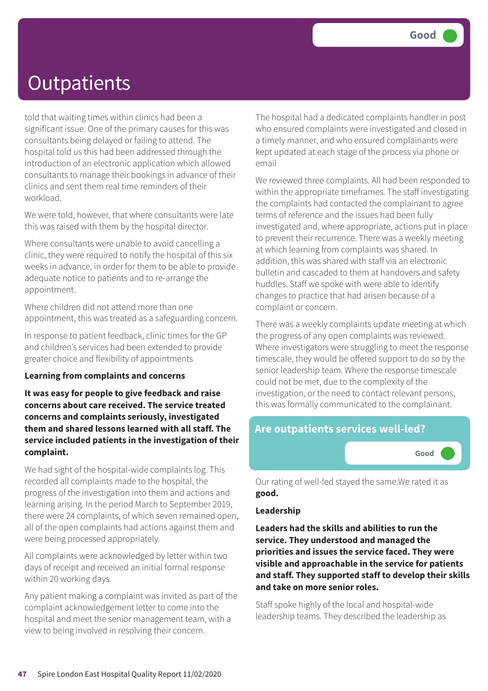told that waiting times within clinics had been a significant issue. One of the primary causes for this was consultants being delayed or failing to attend. The hospital told us this had been addressed through the introduction of an electronic application which allowed consultants to manage their bookings in advance of their clinics and sent them real time reminders of their workload.

We were told, however, that where consultants were late this was raised with them by the hospital director.

Where consultants were unable to avoid cancelling a clinic, they were required to notify the hospital of this six weeks in advance, in order for them to be able to provide adequate notice to patients and to re-arrange the appointment.

Where children did not attend more than one appointment, this was treated as a safeguarding concern.

In response to patient feedback, clinic times for the GP and children's services had been extended to provide greater choice and flexibility of appointments

#### **Learning from complaints and concerns**

**It was easy for people to give feedback and raise concerns about care received. The service treated concerns and complaints seriously, investigated them and shared lessons learned with all staff. The service included patients in the investigation of their complaint.**

We had sight of the hospital-wide complaints log. This recorded all complaints made to the hospital, the progress of the investigation into them and actions and learning arising. In the period March to September 2019, there were 24 complaints, of which seven remained open, all of the open complaints had actions against them and were being processed appropriately.

All complaints were acknowledged by letter within two days of receipt and received an initial formal response within 20 working days.

Any patient making a complaint was invited as part of the complaint acknowledgement letter to come into the hospital and meet the senior management team, with a view to being involved in resolving their concern.

The hospital had a dedicated complaints handler in post who ensured complaints were investigated and closed in a timely manner, and who ensured complainants were kept updated at each stage of the process via phone or email

We reviewed three complaints. All had been responded to within the appropriate timeframes. The staff investigating the complaints had contacted the complainant to agree terms of reference and the issues had been fully investigated and, where appropriate, actions put in place to prevent their recurrence. There was a weekly meeting at which learning from complaints was shared. In addition, this was shared with staff via an electronic bulletin and cascaded to them at handovers and safety huddles. Staff we spoke with were able to identify changes to practice that had arisen because of a complaint or concern.

There was a weekly complaints update meeting at which the progress of any open complaints was reviewed. Where investigators were struggling to meet the response timescale, they would be offered support to do so by the senior leadership team. Where the response timescale could not be met, due to the complexity of the investigation, or the need to contact relevant persons, this was formally communicated to the complainant.

### **Are outpatients services well-led?**



Our rating of well-led stayed the same.We rated it as **good.**

#### **Leadership**

**Leaders had the skills and abilities to run the service. They understood and managed the priorities and issues the service faced. They were visible and approachable in the service for patients and staff. They supported staff to develop their skills and take on more senior roles.**

Staff spoke highly of the local and hospital-wide leadership teams. They described the leadership as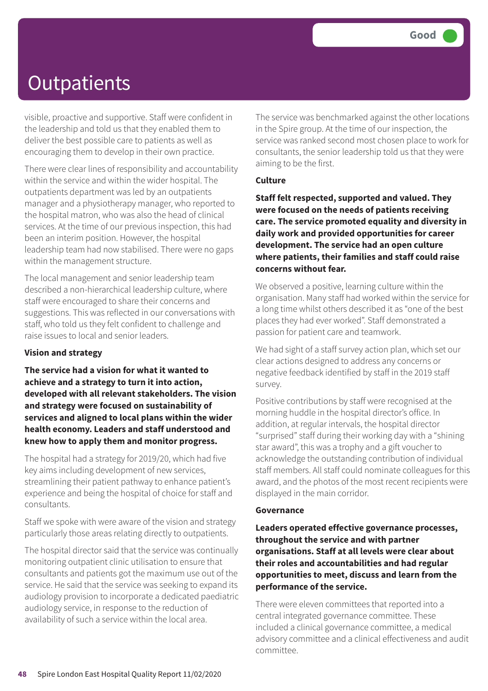visible, proactive and supportive. Staff were confident in the leadership and told us that they enabled them to deliver the best possible care to patients as well as encouraging them to develop in their own practice.

There were clear lines of responsibility and accountability within the service and within the wider hospital. The outpatients department was led by an outpatients manager and a physiotherapy manager, who reported to the hospital matron, who was also the head of clinical services. At the time of our previous inspection, this had been an interim position. However, the hospital leadership team had now stabilised. There were no gaps within the management structure.

The local management and senior leadership team described a non-hierarchical leadership culture, where staff were encouraged to share their concerns and suggestions. This was reflected in our conversations with staff, who told us they felt confident to challenge and raise issues to local and senior leaders.

#### **Vision and strategy**

**The service had a vision for what it wanted to achieve and a strategy to turn it into action, developed with all relevant stakeholders. The vision and strategy were focused on sustainability of services and aligned to local plans within the wider health economy. Leaders and staff understood and knew how to apply them and monitor progress.**

The hospital had a strategy for 2019/20, which had five key aims including development of new services, streamlining their patient pathway to enhance patient's experience and being the hospital of choice for staff and consultants.

Staff we spoke with were aware of the vision and strategy particularly those areas relating directly to outpatients.

The hospital director said that the service was continually monitoring outpatient clinic utilisation to ensure that consultants and patients got the maximum use out of the service. He said that the service was seeking to expand its audiology provision to incorporate a dedicated paediatric audiology service, in response to the reduction of availability of such a service within the local area.

The service was benchmarked against the other locations in the Spire group. At the time of our inspection, the service was ranked second most chosen place to work for consultants, the senior leadership told us that they were aiming to be the first.

#### **Culture**

**Staff felt respected, supported and valued. They were focused on the needs of patients receiving care. The service promoted equality and diversity in daily work and provided opportunities for career development. The service had an open culture where patients, their families and staff could raise concerns without fear.**

We observed a positive, learning culture within the organisation. Many staff had worked within the service for a long time whilst others described it as "one of the best places they had ever worked". Staff demonstrated a passion for patient care and teamwork.

We had sight of a staff survey action plan, which set our clear actions designed to address any concerns or negative feedback identified by staff in the 2019 staff survey.

Positive contributions by staff were recognised at the morning huddle in the hospital director's office. In addition, at regular intervals, the hospital director "surprised" staff during their working day with a "shining star award", this was a trophy and a gift voucher to acknowledge the outstanding contribution of individual staff members. All staff could nominate colleagues for this award, and the photos of the most recent recipients were displayed in the main corridor.

#### **Governance**

**Leaders operated effective governance processes, throughout the service and with partner organisations. Staff at all levels were clear about their roles and accountabilities and had regular opportunities to meet, discuss and learn from the performance of the service.**

There were eleven committees that reported into a central integrated governance committee. These included a clinical governance committee, a medical advisory committee and a clinical effectiveness and audit committee.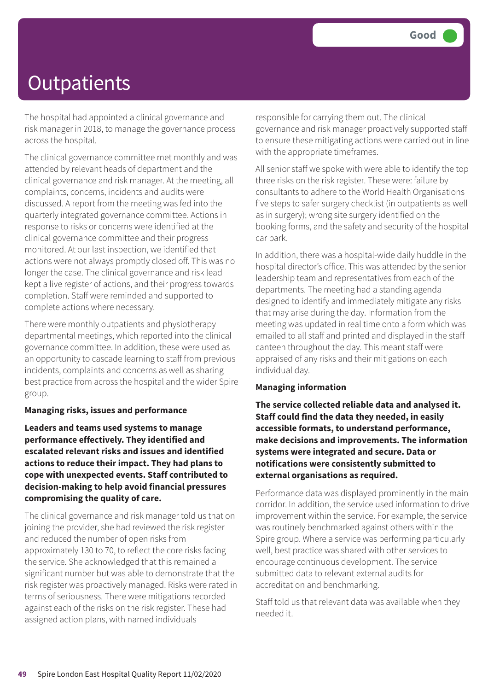The hospital had appointed a clinical governance and risk manager in 2018, to manage the governance process across the hospital.

The clinical governance committee met monthly and was attended by relevant heads of department and the clinical governance and risk manager. At the meeting, all complaints, concerns, incidents and audits were discussed. A report from the meeting was fed into the quarterly integrated governance committee. Actions in response to risks or concerns were identified at the clinical governance committee and their progress monitored. At our last inspection, we identified that actions were not always promptly closed off. This was no longer the case. The clinical governance and risk lead kept a live register of actions, and their progress towards completion. Staff were reminded and supported to complete actions where necessary.

There were monthly outpatients and physiotherapy departmental meetings, which reported into the clinical governance committee. In addition, these were used as an opportunity to cascade learning to staff from previous incidents, complaints and concerns as well as sharing best practice from across the hospital and the wider Spire group.

#### **Managing risks, issues and performance**

**Leaders and teams used systems to manage performance effectively. They identified and escalated relevant risks and issues and identified actions to reduce their impact. They had plans to cope with unexpected events. Staff contributed to decision-making to help avoid financial pressures compromising the quality of care.**

The clinical governance and risk manager told us that on joining the provider, she had reviewed the risk register and reduced the number of open risks from approximately 130 to 70, to reflect the core risks facing the service. She acknowledged that this remained a significant number but was able to demonstrate that the risk register was proactively managed. Risks were rated in terms of seriousness. There were mitigations recorded against each of the risks on the risk register. These had assigned action plans, with named individuals

responsible for carrying them out. The clinical governance and risk manager proactively supported staff to ensure these mitigating actions were carried out in line with the appropriate timeframes.

All senior staff we spoke with were able to identify the top three risks on the risk register. These were: failure by consultants to adhere to the World Health Organisations five steps to safer surgery checklist (in outpatients as well as in surgery); wrong site surgery identified on the booking forms, and the safety and security of the hospital car park.

In addition, there was a hospital-wide daily huddle in the hospital director's office. This was attended by the senior leadership team and representatives from each of the departments. The meeting had a standing agenda designed to identify and immediately mitigate any risks that may arise during the day. Information from the meeting was updated in real time onto a form which was emailed to all staff and printed and displayed in the staff canteen throughout the day. This meant staff were appraised of any risks and their mitigations on each individual day.

#### **Managing information**

**The service collected reliable data and analysed it. Staff could find the data they needed, in easily accessible formats, to understand performance, make decisions and improvements. The information systems were integrated and secure. Data or notifications were consistently submitted to external organisations as required.**

Performance data was displayed prominently in the main corridor. In addition, the service used information to drive improvement within the service. For example, the service was routinely benchmarked against others within the Spire group. Where a service was performing particularly well, best practice was shared with other services to encourage continuous development. The service submitted data to relevant external audits for accreditation and benchmarking.

Staff told us that relevant data was available when they needed it.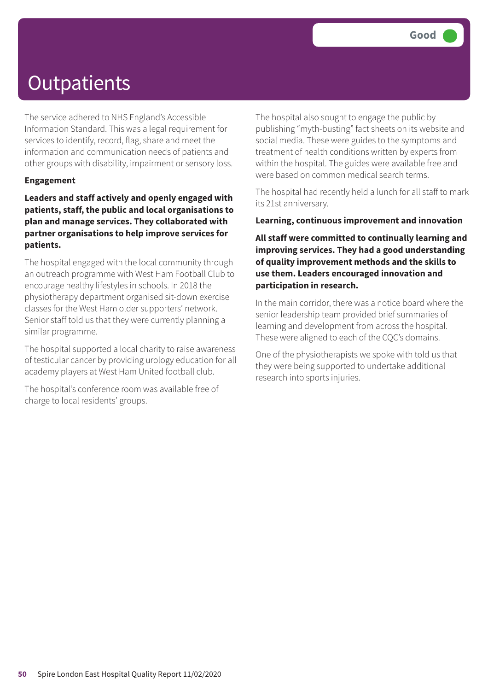The service adhered to NHS England's Accessible Information Standard. This was a legal requirement for services to identify, record, flag, share and meet the information and communication needs of patients and other groups with disability, impairment or sensory loss.

#### **Engagement**

**Leaders and staff actively and openly engaged with patients, staff, the public and local organisations to plan and manage services. They collaborated with partner organisations to help improve services for patients.**

The hospital engaged with the local community through an outreach programme with West Ham Football Club to encourage healthy lifestyles in schools. In 2018 the physiotherapy department organised sit-down exercise classes for the West Ham older supporters' network. Senior staff told us that they were currently planning a similar programme.

The hospital supported a local charity to raise awareness of testicular cancer by providing urology education for all academy players at West Ham United football club.

The hospital's conference room was available free of charge to local residents' groups.

The hospital also sought to engage the public by publishing "myth-busting" fact sheets on its website and social media. These were guides to the symptoms and treatment of health conditions written by experts from within the hospital. The guides were available free and were based on common medical search terms.

The hospital had recently held a lunch for all staff to mark its 21st anniversary.

#### **Learning, continuous improvement and innovation**

**All staff were committed to continually learning and improving services. They had a good understanding of quality improvement methods and the skills to use them. Leaders encouraged innovation and participation in research.**

In the main corridor, there was a notice board where the senior leadership team provided brief summaries of learning and development from across the hospital. These were aligned to each of the CQC's domains.

One of the physiotherapists we spoke with told us that they were being supported to undertake additional research into sports injuries.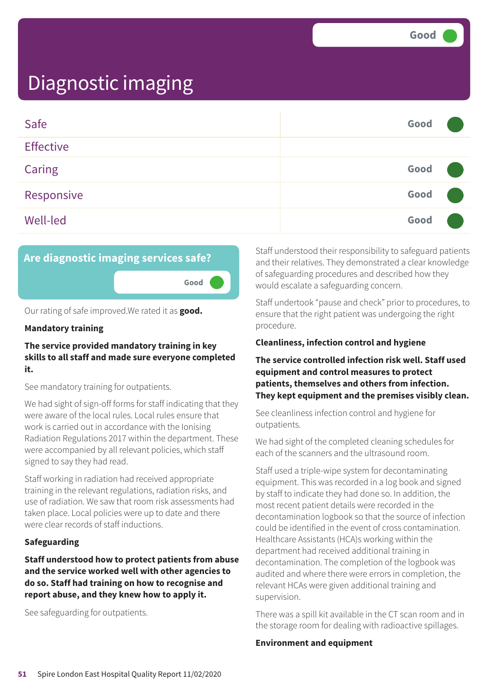| Safe             | Good |  |
|------------------|------|--|
| <b>Effective</b> |      |  |
| Caring           | Good |  |
| Responsive       | Good |  |
| Well-led         | Good |  |



Our rating of safe improved.We rated it as **good.**

#### **Mandatory training**

#### **The service provided mandatory training in key skills to all staff and made sure everyone completed it.**

See mandatory training for outpatients.

We had sight of sign-off forms for staff indicating that they were aware of the local rules. Local rules ensure that work is carried out in accordance with the Ionising Radiation Regulations 2017 within the department. These were accompanied by all relevant policies, which staff signed to say they had read.

Staff working in radiation had received appropriate training in the relevant regulations, radiation risks, and use of radiation. We saw that room risk assessments had taken place. Local policies were up to date and there were clear records of staff inductions.

#### **Safeguarding**

**Staff understood how to protect patients from abuse and the service worked well with other agencies to do so. Staff had training on how to recognise and report abuse, and they knew how to apply it.**

See safeguarding for outpatients.

Staff understood their responsibility to safeguard patients and their relatives. They demonstrated a clear knowledge of safeguarding procedures and described how they would escalate a safeguarding concern.

Staff undertook "pause and check" prior to procedures, to ensure that the right patient was undergoing the right procedure.

#### **Cleanliness, infection control and hygiene**

**The service controlled infection risk well. Staff used equipment and control measures to protect patients, themselves and others from infection. They kept equipment and the premises visibly clean.**

See cleanliness infection control and hygiene for outpatients.

We had sight of the completed cleaning schedules for each of the scanners and the ultrasound room.

Staff used a triple-wipe system for decontaminating equipment. This was recorded in a log book and signed by staff to indicate they had done so. In addition, the most recent patient details were recorded in the decontamination logbook so that the source of infection could be identified in the event of cross contamination. Healthcare Assistants (HCA)s working within the department had received additional training in decontamination. The completion of the logbook was audited and where there were errors in completion, the relevant HCAs were given additional training and supervision.

There was a spill kit available in the CT scan room and in the storage room for dealing with radioactive spillages.

#### **Environment and equipment**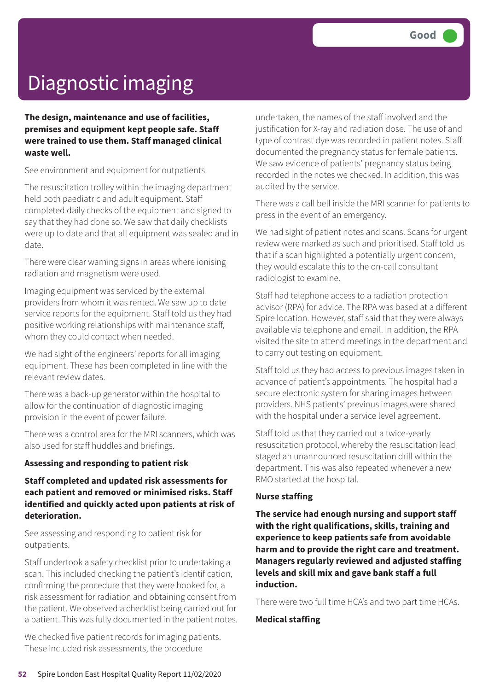**The design, maintenance and use of facilities, premises and equipment kept people safe. Staff were trained to use them. Staff managed clinical waste well.**

See environment and equipment for outpatients.

The resuscitation trolley within the imaging department held both paediatric and adult equipment. Staff completed daily checks of the equipment and signed to say that they had done so. We saw that daily checklists were up to date and that all equipment was sealed and in date.

There were clear warning signs in areas where ionising radiation and magnetism were used.

Imaging equipment was serviced by the external providers from whom it was rented. We saw up to date service reports for the equipment. Staff told us they had positive working relationships with maintenance staff, whom they could contact when needed.

We had sight of the engineers' reports for all imaging equipment. These has been completed in line with the relevant review dates.

There was a back-up generator within the hospital to allow for the continuation of diagnostic imaging provision in the event of power failure.

There was a control area for the MRI scanners, which was also used for staff huddles and briefings.

#### **Assessing and responding to patient risk**

#### **Staff completed and updated risk assessments for each patient and removed or minimised risks. Staff identified and quickly acted upon patients at risk of deterioration.**

See assessing and responding to patient risk for outpatients.

Staff undertook a safety checklist prior to undertaking a scan. This included checking the patient's identification, confirming the procedure that they were booked for, a risk assessment for radiation and obtaining consent from the patient. We observed a checklist being carried out for a patient. This was fully documented in the patient notes.

We checked five patient records for imaging patients. These included risk assessments, the procedure

undertaken, the names of the staff involved and the justification for X-ray and radiation dose. The use of and type of contrast dye was recorded in patient notes. Staff documented the pregnancy status for female patients. We saw evidence of patients' pregnancy status being recorded in the notes we checked. In addition, this was audited by the service.

There was a call bell inside the MRI scanner for patients to press in the event of an emergency.

We had sight of patient notes and scans. Scans for urgent review were marked as such and prioritised. Staff told us that if a scan highlighted a potentially urgent concern, they would escalate this to the on-call consultant radiologist to examine.

Staff had telephone access to a radiation protection advisor (RPA) for advice. The RPA was based at a different Spire location. However, staff said that they were always available via telephone and email. In addition, the RPA visited the site to attend meetings in the department and to carry out testing on equipment.

Staff told us they had access to previous images taken in advance of patient's appointments. The hospital had a secure electronic system for sharing images between providers. NHS patients' previous images were shared with the hospital under a service level agreement.

Staff told us that they carried out a twice-yearly resuscitation protocol, whereby the resuscitation lead staged an unannounced resuscitation drill within the department. This was also repeated whenever a new RMO started at the hospital.

#### **Nurse staffing**

**The service had enough nursing and support staff with the right qualifications, skills, training and experience to keep patients safe from avoidable harm and to provide the right care and treatment. Managers regularly reviewed and adjusted staffing levels and skill mix and gave bank staff a full induction.**

There were two full time HCA's and two part time HCAs.

#### **Medical staffing**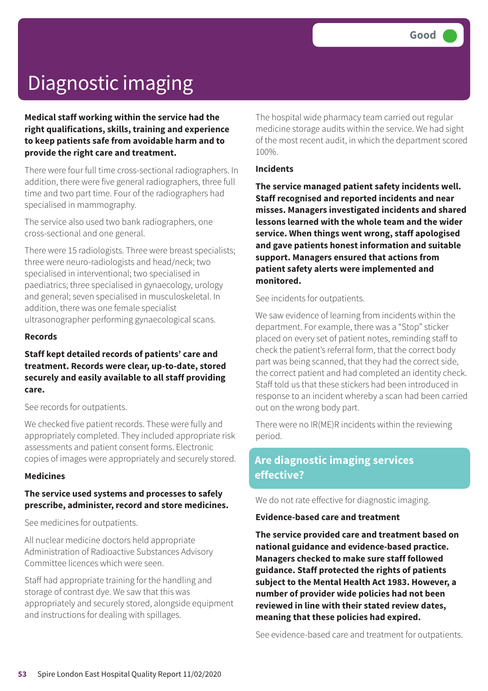**Medical staff working within the service had the right qualifications, skills, training and experience to keep patients safe from avoidable harm and to provide the right care and treatment.**

There were four full time cross-sectional radiographers. In addition, there were five general radiographers, three full time and two part time. Four of the radiographers had specialised in mammography.

The service also used two bank radiographers, one cross-sectional and one general.

There were 15 radiologists. Three were breast specialists; three were neuro-radiologists and head/neck; two specialised in interventional; two specialised in paediatrics; three specialised in gynaecology, urology and general; seven specialised in musculoskeletal. In addition, there was one female specialist ultrasonographer performing gynaecological scans.

#### **Records**

#### **Staff kept detailed records of patients' care and treatment. Records were clear, up-to-date, stored securely and easily available to all staff providing care.**

See records for outpatients.

We checked five patient records. These were fully and appropriately completed. They included appropriate risk assessments and patient consent forms. Electronic copies of images were appropriately and securely stored.

#### **Medicines**

#### **The service used systems and processes to safely prescribe, administer, record and store medicines.**

See medicines for outpatients.

All nuclear medicine doctors held appropriate Administration of Radioactive Substances Advisory Committee licences which were seen.

Staff had appropriate training for the handling and storage of contrast dye. We saw that this was appropriately and securely stored, alongside equipment and instructions for dealing with spillages.

The hospital wide pharmacy team carried out regular medicine storage audits within the service. We had sight of the most recent audit, in which the department scored 100%.

#### **Incidents**

**The service managed patient safety incidents well. Staff recognised and reported incidents and near misses. Managers investigated incidents and shared lessons learned with the whole team and the wider service. When things went wrong, staff apologised and gave patients honest information and suitable support. Managers ensured that actions from patient safety alerts were implemented and monitored.**

See incidents for outpatients.

We saw evidence of learning from incidents within the department. For example, there was a "Stop" sticker placed on every set of patient notes, reminding staff to check the patient's referral form, that the correct body part was being scanned, that they had the correct side, the correct patient and had completed an identity check. Staff told us that these stickers had been introduced in response to an incident whereby a scan had been carried out on the wrong body part.

There were no IR(ME)R incidents within the reviewing period.

### **Are diagnostic imaging services effective?**

We do not rate effective for diagnostic imaging.

#### **Evidence-based care and treatment**

**The service provided care and treatment based on national guidance and evidence-based practice. Managers checked to make sure staff followed guidance. Staff protected the rights of patients subject to the Mental Health Act 1983. However, a number of provider wide policies had not been reviewed in line with their stated review dates, meaning that these policies had expired.**

See evidence-based care and treatment for outpatients.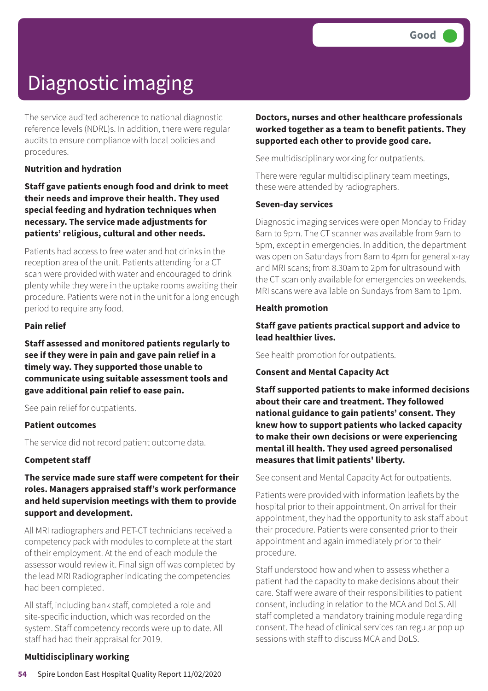The service audited adherence to national diagnostic reference levels (NDRL)s. In addition, there were regular audits to ensure compliance with local policies and procedures.

#### **Nutrition and hydration**

**Staff gave patients enough food and drink to meet their needs and improve their health. They used special feeding and hydration techniques when necessary. The service made adjustments for patients' religious, cultural and other needs.**

Patients had access to free water and hot drinks in the reception area of the unit. Patients attending for a CT scan were provided with water and encouraged to drink plenty while they were in the uptake rooms awaiting their procedure. Patients were not in the unit for a long enough period to require any food.

#### **Pain relief**

**Staff assessed and monitored patients regularly to see if they were in pain and gave pain relief in a timely way. They supported those unable to communicate using suitable assessment tools and gave additional pain relief to ease pain.**

See pain relief for outpatients.

#### **Patient outcomes**

The service did not record patient outcome data.

#### **Competent staff**

**The service made sure staff were competent for their roles. Managers appraised staff's work performance and held supervision meetings with them to provide support and development.**

All MRI radiographers and PET-CT technicians received a competency pack with modules to complete at the start of their employment. At the end of each module the assessor would review it. Final sign off was completed by the lead MRI Radiographer indicating the competencies had been completed.

All staff, including bank staff, completed a role and site-specific induction, which was recorded on the system. Staff competency records were up to date. All staff had had their appraisal for 2019.

### **Doctors, nurses and other healthcare professionals worked together as a team to benefit patients. They supported each other to provide good care.**

See multidisciplinary working for outpatients.

There were regular multidisciplinary team meetings, these were attended by radiographers.

#### **Seven-day services**

Diagnostic imaging services were open Monday to Friday 8am to 9pm. The CT scanner was available from 9am to 5pm, except in emergencies. In addition, the department was open on Saturdays from 8am to 4pm for general x-ray and MRI scans; from 8.30am to 2pm for ultrasound with the CT scan only available for emergencies on weekends. MRI scans were available on Sundays from 8am to 1pm.

#### **Health promotion**

#### **Staff gave patients practical support and advice to lead healthier lives.**

See health promotion for outpatients.

#### **Consent and Mental Capacity Act**

**Staff supported patients to make informed decisions about their care and treatment. They followed national guidance to gain patients' consent. They knew how to support patients who lacked capacity to make their own decisions or were experiencing mental ill health. They used agreed personalised measures that limit patients' liberty.**

See consent and Mental Capacity Act for outpatients.

Patients were provided with information leaflets by the hospital prior to their appointment. On arrival for their appointment, they had the opportunity to ask staff about their procedure. Patients were consented prior to their appointment and again immediately prior to their procedure.

Staff understood how and when to assess whether a patient had the capacity to make decisions about their care. Staff were aware of their responsibilities to patient consent, including in relation to the MCA and DoLS. All staff completed a mandatory training module regarding consent. The head of clinical services ran regular pop up sessions with staff to discuss MCA and DoLS.

#### **Multidisciplinary working**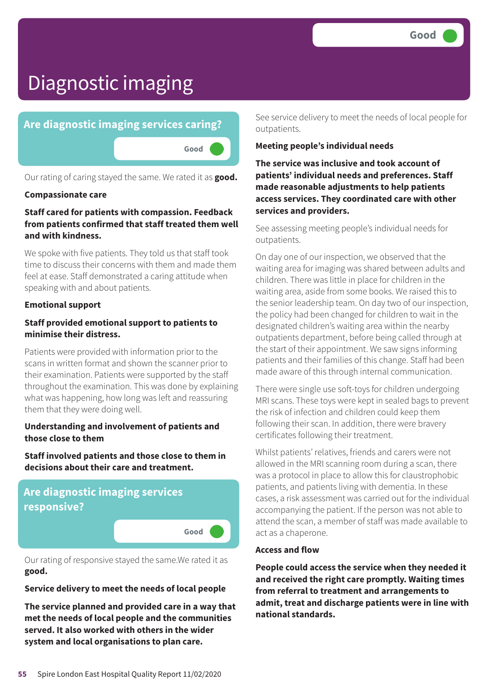

Our rating of caring stayed the same. We rated it as **good.**

#### **Compassionate care**

#### **Staff cared for patients with compassion. Feedback from patients confirmed that staff treated them well and with kindness.**

We spoke with five patients. They told us that staff took time to discuss their concerns with them and made them feel at ease. Staff demonstrated a caring attitude when speaking with and about patients.

#### **Emotional support**

#### **Staff provided emotional support to patients to minimise their distress.**

Patients were provided with information prior to the scans in written format and shown the scanner prior to their examination. Patients were supported by the staff throughout the examination. This was done by explaining what was happening, how long was left and reassuring them that they were doing well.

#### **Understanding and involvement of patients and those close to them**

**Staff involved patients and those close to them in decisions about their care and treatment.**

### **Are diagnostic imaging services responsive?**

Our rating of responsive stayed the same.We rated it as **good.**

**Good –––**

#### **Service delivery to meet the needs of local people**

**The service planned and provided care in a way that met the needs of local people and the communities served. It also worked with others in the wider system and local organisations to plan care.**

See service delivery to meet the needs of local people for outpatients.

#### **Meeting people's individual needs**

**The service was inclusive and took account of patients' individual needs and preferences. Staff made reasonable adjustments to help patients access services. They coordinated care with other services and providers.**

See assessing meeting people's individual needs for outpatients.

On day one of our inspection, we observed that the waiting area for imaging was shared between adults and children. There was little in place for children in the waiting area, aside from some books. We raised this to the senior leadership team. On day two of our inspection, the policy had been changed for children to wait in the designated children's waiting area within the nearby outpatients department, before being called through at the start of their appointment. We saw signs informing patients and their families of this change. Staff had been made aware of this through internal communication.

There were single use soft-toys for children undergoing MRI scans. These toys were kept in sealed bags to prevent the risk of infection and children could keep them following their scan. In addition, there were bravery certificates following their treatment.

Whilst patients' relatives, friends and carers were not allowed in the MRI scanning room during a scan, there was a protocol in place to allow this for claustrophobic patients, and patients living with dementia. In these cases, a risk assessment was carried out for the individual accompanying the patient. If the person was not able to attend the scan, a member of staff was made available to act as a chaperone.

#### **Access and flow**

**People could access the service when they needed it and received the right care promptly. Waiting times from referral to treatment and arrangements to admit, treat and discharge patients were in line with national standards.**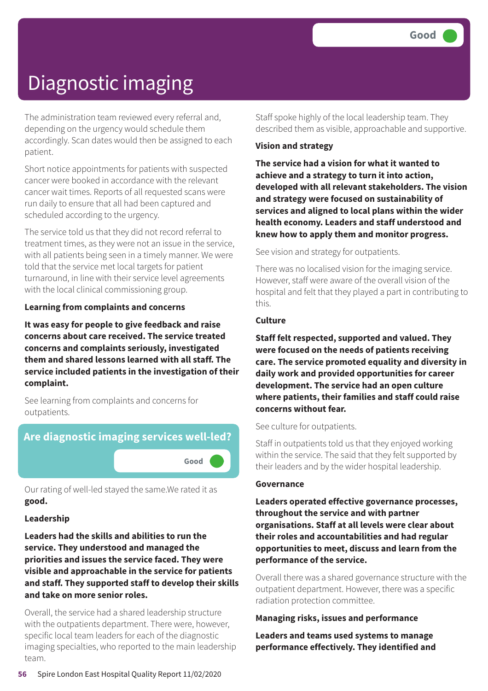The administration team reviewed every referral and, depending on the urgency would schedule them accordingly. Scan dates would then be assigned to each patient.

Short notice appointments for patients with suspected cancer were booked in accordance with the relevant cancer wait times. Reports of all requested scans were run daily to ensure that all had been captured and scheduled according to the urgency.

The service told us that they did not record referral to treatment times, as they were not an issue in the service, with all patients being seen in a timely manner. We were told that the service met local targets for patient turnaround, in line with their service level agreements with the local clinical commissioning group.

#### **Learning from complaints and concerns**

**It was easy for people to give feedback and raise concerns about care received. The service treated concerns and complaints seriously, investigated them and shared lessons learned with all staff. The service included patients in the investigation of their complaint.**

See learning from complaints and concerns for outpatients.

### **Are diagnostic imaging services well-led?**

**Good –––**

Our rating of well-led stayed the same.We rated it as **good.**

#### **Leadership**

**Leaders had the skills and abilities to run the service. They understood and managed the priorities and issues the service faced. They were visible and approachable in the service for patients and staff. They supported staff to develop their skills and take on more senior roles.**

Overall, the service had a shared leadership structure with the outpatients department. There were, however, specific local team leaders for each of the diagnostic imaging specialties, who reported to the main leadership team.

Staff spoke highly of the local leadership team. They described them as visible, approachable and supportive.

#### **Vision and strategy**

**The service had a vision for what it wanted to achieve and a strategy to turn it into action, developed with all relevant stakeholders. The vision and strategy were focused on sustainability of services and aligned to local plans within the wider health economy. Leaders and staff understood and knew how to apply them and monitor progress.**

See vision and strategy for outpatients.

There was no localised vision for the imaging service. However, staff were aware of the overall vision of the hospital and felt that they played a part in contributing to this.

#### **Culture**

**Staff felt respected, supported and valued. They were focused on the needs of patients receiving care. The service promoted equality and diversity in daily work and provided opportunities for career development. The service had an open culture where patients, their families and staff could raise concerns without fear.**

#### See culture for outpatients.

Staff in outpatients told us that they enjoyed working within the service. The said that they felt supported by their leaders and by the wider hospital leadership.

#### **Governance**

**Leaders operated effective governance processes, throughout the service and with partner organisations. Staff at all levels were clear about their roles and accountabilities and had regular opportunities to meet, discuss and learn from the performance of the service.**

Overall there was a shared governance structure with the outpatient department. However, there was a specific radiation protection committee.

#### **Managing risks, issues and performance**

**Leaders and teams used systems to manage performance effectively. They identified and**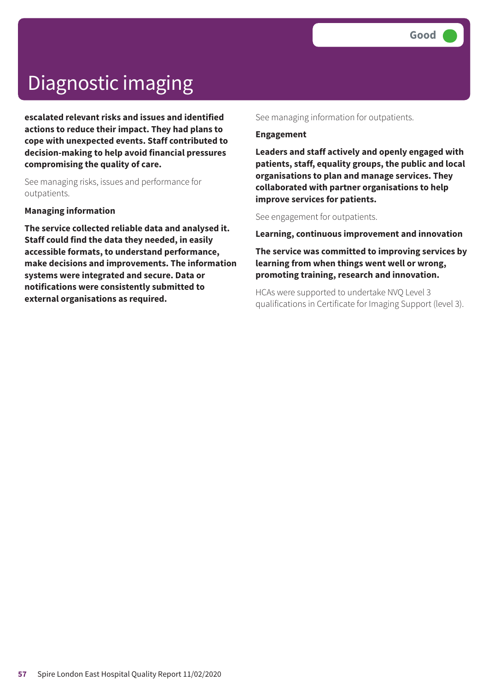**escalated relevant risks and issues and identified actions to reduce their impact. They had plans to cope with unexpected events. Staff contributed to decision-making to help avoid financial pressures compromising the quality of care.**

See managing risks, issues and performance for outpatients.

#### **Managing information**

**The service collected reliable data and analysed it. Staff could find the data they needed, in easily accessible formats, to understand performance, make decisions and improvements. The information systems were integrated and secure. Data or notifications were consistently submitted to external organisations as required.**

See managing information for outpatients.

#### **Engagement**

**Leaders and staff actively and openly engaged with patients, staff, equality groups, the public and local organisations to plan and manage services. They collaborated with partner organisations to help improve services for patients.**

See engagement for outpatients.

**Learning, continuous improvement and innovation**

**The service was committed to improving services by learning from when things went well or wrong, promoting training, research and innovation.**

HCAs were supported to undertake NVQ Level 3 qualifications in Certificate for Imaging Support (level 3).